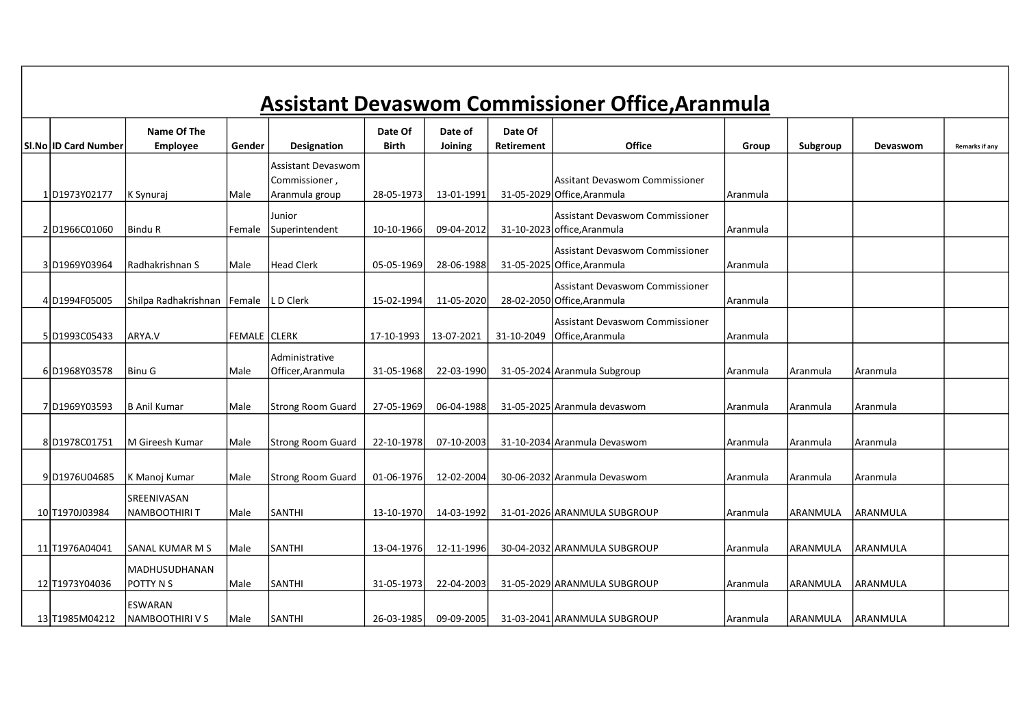|                      |                                           |                     |                                                              |                         |                    |                              | <b>Assistant Devaswom Commissioner Office, Aranmula</b>        |          |                 |                  |                |
|----------------------|-------------------------------------------|---------------------|--------------------------------------------------------------|-------------------------|--------------------|------------------------------|----------------------------------------------------------------|----------|-----------------|------------------|----------------|
| SI.No ID Card Number | Name Of The<br><b>Employee</b>            | Gender              | Designation                                                  | Date Of<br><b>Birth</b> | Date of<br>Joining | Date Of<br><b>Retirement</b> | <b>Office</b>                                                  | Group    | Subgroup        | Devaswom         | Remarks if any |
| 1D1973Y02177         | K Synuraj                                 | Male                | <b>Assistant Devaswom</b><br>Commissioner,<br>Aranmula group | 28-05-1973              | 13-01-1991         |                              | Assitant Devaswom Commissioner<br>31-05-2029 Office, Aranmula  | Aranmula |                 |                  |                |
| 2D1966C01060         | lBindu R                                  | Female              | Junior<br>Superintendent                                     | 10-10-1966              | 09-04-2012         |                              | Assistant Devaswom Commissioner<br>31-10-2023 office, Aranmula | Aranmula |                 |                  |                |
| 3D1969Y03964         | Radhakrishnan S                           | Male                | <b>Head Clerk</b>                                            | 05-05-1969              | 28-06-1988         |                              | Assistant Devaswom Commissioner<br>31-05-2025 Office, Aranmula | Aranmula |                 |                  |                |
| 4D1994F05005         | Shilpa Radhakrishnan                      | Female              | L D Clerk                                                    | 15-02-1994              | 11-05-2020         |                              | Assistant Devaswom Commissioner<br>28-02-2050 Office, Aranmula | Aranmula |                 |                  |                |
| 5D1993C05433         | lARYA.V                                   | <b>FEMALE CLERK</b> |                                                              | 17-10-1993              | 13-07-2021         | 31-10-2049                   | Assistant Devaswom Commissioner<br>Office, Aranmula            | Aranmula |                 |                  |                |
| 6D1968Y03578         | l Binu G                                  | Male                | Administrative<br>Officer, Aranmula                          | 31-05-1968              | 22-03-1990         |                              | 31-05-2024 Aranmula Subgroup                                   | Aranmula | Aranmula        | Aranmula         |                |
| 7D1969Y03593         | IB Anil Kumar                             | Male                | Strong Room Guard                                            | 27-05-1969              | 06-04-1988         |                              | 31-05-2025 Aranmula devaswom                                   | Aranmula | Aranmula        | Aranmula         |                |
| 8D1978C01751         | <b>IM Gireesh Kumar</b>                   | Male                | Strong Room Guard                                            | 22-10-1978              | 07-10-2003         |                              | 31-10-2034 Aranmula Devaswom                                   | Aranmula | Aranmula        | l Aranmula       |                |
| 9D1976U04685         | K Manoj Kumar                             | <b>Male</b>         | Strong Room Guard                                            | 01-06-1976              | 12-02-2004         |                              | 30-06-2032 Aranmula Devaswom                                   | Aranmula | Aranmula        | Aranmula         |                |
| 10 T1970J03984       | SREENIVASAN<br>INAMBOOTHIRI T             | Male                | <b>SANTHI</b>                                                | 13-10-1970              | 14-03-1992         |                              | 31-01-2026 ARANMULA SUBGROUP                                   | Aranmula | ARANMULA        | laranmula        |                |
| 11 T1976A04041       | lSANAL KUMAR M S                          | Male                | <b>SANTHI</b>                                                | 13-04-1976              | 12-11-1996         |                              | 30-04-2032 ARANMULA SUBGROUP                                   | Aranmula | <b>ARANMULA</b> | laranmula        |                |
| 12 T1973Y04036       | MADHUSUDHANAN<br>POTTY N S                | Male                | <b>SANTHI</b>                                                | 31-05-1973              | 22-04-2003         |                              | 31-05-2029 ARANMULA SUBGROUP                                   | Aranmula | <b>ARANMULA</b> | laranmula        |                |
| 13 T1985M04212       | <b>ESWARAN</b><br><b>INAMBOOTHIRI V S</b> | Male                | SANTHI                                                       | 26-03-1985              | 09-09-2005         |                              | 31-03-2041 ARANMULA SUBGROUP                                   | Aranmula | laranmula       | <b>LARANMULA</b> |                |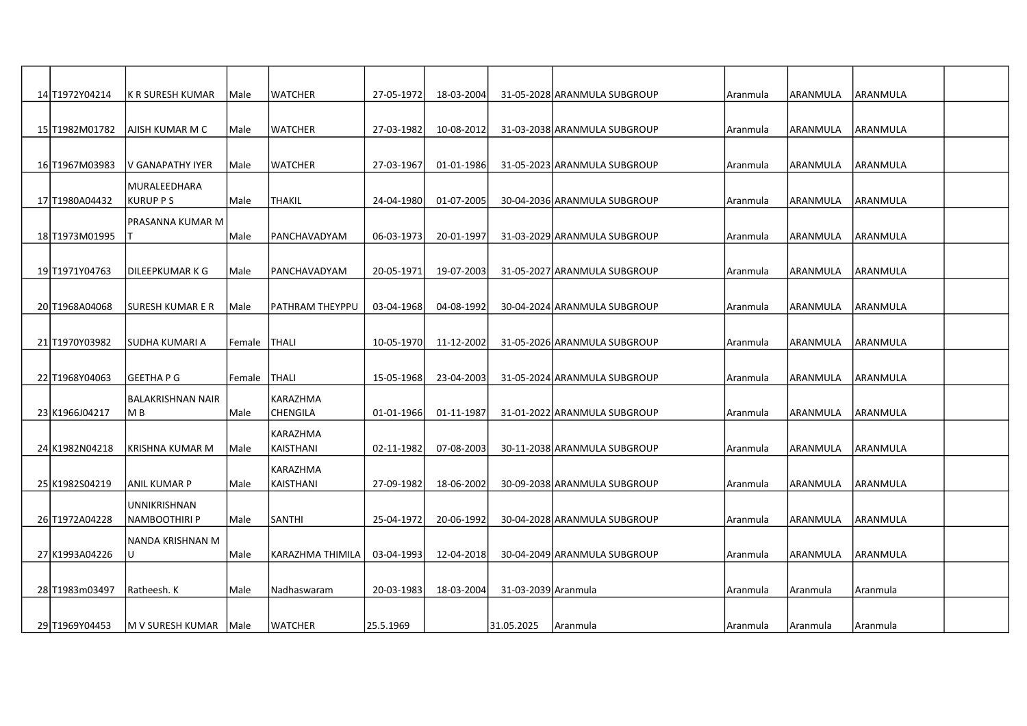| 14 T1972 Y04 214 | IK R SURESH KUMAR        | lMale  | <b>WATCHER</b>   | 27-05-1972 | 18-03-2004 |                     | 31-05-2028 ARANMULA SUBGROUP | Aranmula | laranmula       | <b>JARANMULA</b> |  |
|------------------|--------------------------|--------|------------------|------------|------------|---------------------|------------------------------|----------|-----------------|------------------|--|
|                  |                          |        |                  |            |            |                     |                              |          |                 |                  |  |
| 15JT1982M01782   | IAJISH KUMAR M C         | Male   | <b>WATCHER</b>   | 27-03-1982 | 10-08-2012 |                     | 31-03-2038 ARANMULA SUBGROUP | Aranmula | ARANMULA        | <b>JARANMULA</b> |  |
|                  |                          |        |                  |            |            |                     |                              |          |                 |                  |  |
| 16JT1967M03983   | IV GANAPATHY IYER        | Male   | <b>WATCHER</b>   | 27-03-1967 | 01-01-1986 |                     | 31-05-2023 ARANMULA SUBGROUP | Aranmula | ARANMULA        | <b>JARANMULA</b> |  |
|                  | <b>MURALEEDHARA</b>      |        |                  |            |            |                     |                              |          |                 |                  |  |
| 17 T1980A04432   | KURUP P S                | Male   | <b>THAKIL</b>    | 24-04-1980 | 01-07-2005 |                     | 30-04-2036 ARANMULA SUBGROUP | Aranmula | ARANMULA        | <b>JARANMULA</b> |  |
|                  | lPRASANNA KUMAR M        |        |                  |            |            |                     |                              |          |                 |                  |  |
| 18JT1973M01995   |                          | Male   | PANCHAVADYAM     | 06-03-1973 | 20-01-1997 |                     | 31-03-2029 ARANMULA SUBGROUP | Aranmula | ARANMULA        | <b>JARANMULA</b> |  |
|                  |                          |        |                  |            |            |                     |                              |          |                 |                  |  |
| 19 T1971Y04763   | DILEEPKUMAR K G          | Male   | PANCHAVADYAM     | 20-05-1971 | 19-07-2003 |                     | 31-05-2027 ARANMULA SUBGROUP | Aranmula | ARANMULA        | <b>JARANMULA</b> |  |
|                  |                          |        |                  |            |            |                     |                              |          |                 |                  |  |
| 20 T1968A04068   | ISURESH KUMAR E R        | Male   | PATHRAM THEYPPU  | 03-04-1968 | 04-08-1992 |                     | 30-04-2024 ARANMULA SUBGROUP | Aranmula | ARANMULA        | <b>ARANMULA</b>  |  |
|                  |                          |        |                  |            |            |                     |                              |          |                 |                  |  |
| 21 T1970 Y03982  | ISUDHA KUMARI A          | Female | <b>THALI</b>     | 10-05-1970 | 11-12-2002 |                     | 31-05-2026 ARANMULA SUBGROUP | Aranmula | ARANMULA        | <b>JARANMULA</b> |  |
|                  |                          |        |                  |            |            |                     |                              |          |                 |                  |  |
| 22 T1968Y04063   | lGEETHA P G              | Female | <b>THALI</b>     | 15-05-1968 | 23-04-2003 |                     | 31-05-2024 ARANMULA SUBGROUP | Aranmula | ARANMULA        | <b>JARANMULA</b> |  |
|                  | <b>BALAKRISHNAN NAIR</b> |        | KARAZHMA         |            |            |                     |                              |          |                 |                  |  |
| 23 K1966J04217   | IM B                     | Male   | <b>CHENGILA</b>  | 01-01-1966 | 01-11-1987 |                     | 31-01-2022 ARANMULA SUBGROUP | Aranmula | IARANMULA       | <b>JARANMULA</b> |  |
|                  |                          |        | KARAZHMA         |            |            |                     |                              |          |                 |                  |  |
| 24 K1982N04218   | <b>KRISHNA KUMAR M</b>   | Male   | KAISTHANI        | 02-11-1982 | 07-08-2003 |                     | 30-11-2038 ARANMULA SUBGROUP | Aranmula | <b>ARANMULA</b> | <b>ARANMULA</b>  |  |
|                  |                          |        | KARAZHMA         |            |            |                     |                              |          |                 |                  |  |
| 25 K1982S04219   | IANIL KUMAR P            | Male   | KAISTHANI        | 27-09-1982 | 18-06-2002 |                     | 30-09-2038 ARANMULA SUBGROUP | Aranmula | ARANMULA        | IARANMULA        |  |
|                  | <b>UNNIKRISHNAN</b>      |        |                  |            |            |                     |                              |          |                 |                  |  |
| 26 T1972A04228   | NAMBOOTHIRI P            | Male   | <b>SANTHI</b>    | 25-04-1972 | 20-06-1992 |                     | 30-04-2028 ARANMULA SUBGROUP | Aranmula | laranmula       | ARANMULA         |  |
|                  | NANDA KRISHNAN M         |        |                  |            |            |                     |                              |          |                 |                  |  |
| 27 K1993A04226   | lU.                      | Male   | KARAZHMA THIMILA | 03-04-1993 | 12-04-2018 |                     | 30-04-2049 ARANMULA SUBGROUP | Aranmula | ARANMULA        | <b>JARANMULA</b> |  |
|                  |                          |        |                  |            |            |                     |                              |          |                 |                  |  |
| 28 T1983m03497   | Ratheesh. K              | Male   | Nadhaswaram      | 20-03-1983 | 18-03-2004 | 31-03-2039 Aranmula |                              | Aranmula | Aranmula        | Aranmula         |  |
|                  |                          |        |                  |            |            |                     |                              |          |                 |                  |  |
| 29 T1969 Y04453  | M V SURESH KUMAR   Male  |        | <b>WATCHER</b>   | 25.5.1969  |            | 31.05.2025          | Aranmula                     | Aranmula | Aranmula        | Aranmula         |  |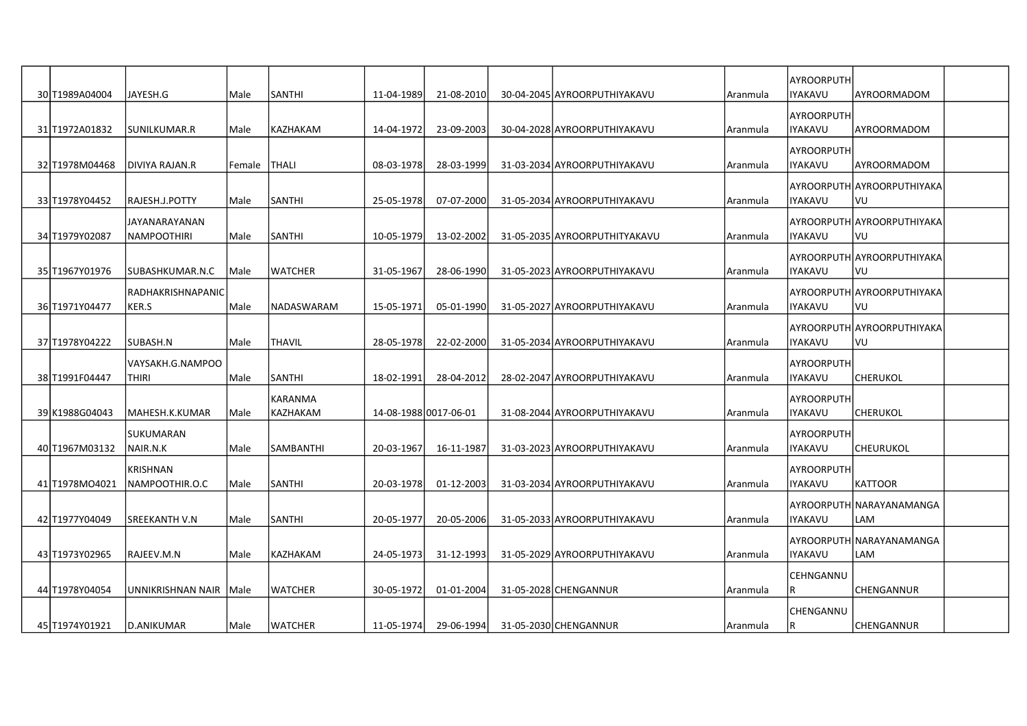| 30 T1989A04004  | JAYESH.G                            | Male        | SANTHI              | 11-04-1989            | 21-08-2010 | 30-04-2045 AYROORPUTHIYAKAVU  | Aranmula | AYROORPUTH<br><b>IYAKAVU</b>        | layroormadom                      |  |
|-----------------|-------------------------------------|-------------|---------------------|-----------------------|------------|-------------------------------|----------|-------------------------------------|-----------------------------------|--|
| 31 T1972A01832  | lsunilkumar.r                       | Male        | KAZHAKAM            | 14-04-1972            | 23-09-2003 | 30-04-2028 AYROORPUTHIYAKAVU  | Aranmula | <b>AYROORPUTH</b><br><b>IYAKAVU</b> | layroormadom                      |  |
| 32 T1978M04468  | <b>DIVIYA RAJAN.R</b>               | Female      | <b>THALI</b>        | 08-03-1978            | 28-03-1999 | 31-03-2034 AYROORPUTHIYAKAVU  | Aranmula | AYROORPUTH<br><b>IYAKAVU</b>        | AYROORMADOM                       |  |
| 33 T1978 Y04452 | RAJESH.J.POTTY                      | Male        | <b>SANTHI</b>       | 25-05-1978            | 07-07-2000 | 31-05-2034 AYROORPUTHIYAKAVU  | Aranmula | <b>IYAKAVU</b>                      | AYROORPUTH AYROORPUTHIYAKA<br>VU  |  |
| 34 T1979 Y02087 | <b>JAYANARAYANAN</b><br>NAMPOOTHIRI | Male        | <b>SANTHI</b>       | 10-05-1979            | 13-02-2002 | 31-05-2035 AYROORPUTHITYAKAVU | Aranmula | <b>IYAKAVU</b>                      | AYROORPUTHIAYROORPUTHIYAKA<br>lvu |  |
| 35 T1967Y01976  | SUBASHKUMAR.N.C                     | l Male      | WATCHER             | 31-05-1967            | 28-06-1990 | 31-05-2023 AYROORPUTHIYAKAVU  | Aranmula | IIYAKAVU                            | AYROORPUTH AYROORPUTHIYAKA<br>VU  |  |
| 36 T1971Y04477  | RADHAKRISHNAPANIC<br>KER.S          | Male        | NADASWARAM          | 15-05-1971            | 05-01-1990 | 31-05-2027 AYROORPUTHIYAKAVU  | Aranmula | IYAKAVU                             | AYROORPUTH AYROORPUTHIYAKA<br>VU  |  |
| 37 T1978Y04222  | SUBASH.N                            | Male        | <b>THAVIL</b>       | 28-05-1978            | 22-02-2000 | 31-05-2034 AYROORPUTHIYAKAVU  | Aranmula | <b>IYAKAVU</b>                      | AYROORPUTH AYROORPUTHIYAKA<br>VU  |  |
| 38 T1991 F04447 | VAYSAKH.G.NAMPOO<br><b>THIRI</b>    | Male        | SANTHI              | 18-02-1991            | 28-04-2012 | 28-02-2047 AYROORPUTHIYAKAVU  | Aranmula | AYROORPUTH<br>IYAKAVU               | <b>CHERUKOL</b>                   |  |
| 39 K1988G04043  | MAHESH.K.KUMAR                      | <b>Male</b> | KARANMA<br>KAZHAKAM | 14-08-1988 0017-06-01 |            | 31-08-2044 AYROORPUTHIYAKAVU  | Aranmula | AYROORPUTH<br><b>IYAKAVU</b>        | lcherukol                         |  |
| 40 T1967M03132  | SUKUMARAN<br>NAIR.N.K               | Male        | <b>SAMBANTHI</b>    | 20-03-1967            | 16-11-1987 | 31-03-2023 AYROORPUTHIYAKAVU  | Aranmula | <b>AYROORPUTH</b><br><b>IYAKAVU</b> | CHEURUKOL                         |  |
| 41 T1978MO4021  | <b>KRISHNAN</b><br>NAMPOOTHIR.O.C   | Male        | <b>SANTHI</b>       | 20-03-1978            | 01-12-2003 | 31-03-2034 AYROORPUTHIYAKAVU  | Aranmula | AYROORPUTH<br><b>IYAKAVU</b>        | IKATTOOR                          |  |
| 42 T1977Y04049  | <b>SREEKANTH V.N</b>                | Male        | SANTHI              | 20-05-1977            | 20-05-2006 | 31-05-2033 AYROORPUTHIYAKAVU  | Aranmula | <b>IYAKAVU</b>                      | AYROORPUTH NARAYANAMANGA<br>LAM   |  |
| 43 T1973Y02965  | RAJEEV.M.N                          | Male        | KAZHAKAM            | 24-05-1973            | 31-12-1993 | 31-05-2029 AYROORPUTHIYAKAVU  | Aranmula | <b>IYAKAVU</b>                      | AYROORPUTHINARAYANAMANGA<br>LAM   |  |
| 44 T1978 Y04054 | UNNIKRISHNAN NAIR Male              |             | WATCHER             | 30-05-1972            | 01-01-2004 | 31-05-2028 CHENGANNUR         | Aranmula | CEHNGANNU<br>IR.                    | lCHENGANNUR                       |  |
| 45 T1974Y01921  | D.ANIKUMAR                          | Male        | <b>WATCHER</b>      | 11-05-1974            | 29-06-1994 | 31-05-2030 CHENGANNUR         | Aranmula | CHENGANNU<br>IR.                    | CHENGANNUR                        |  |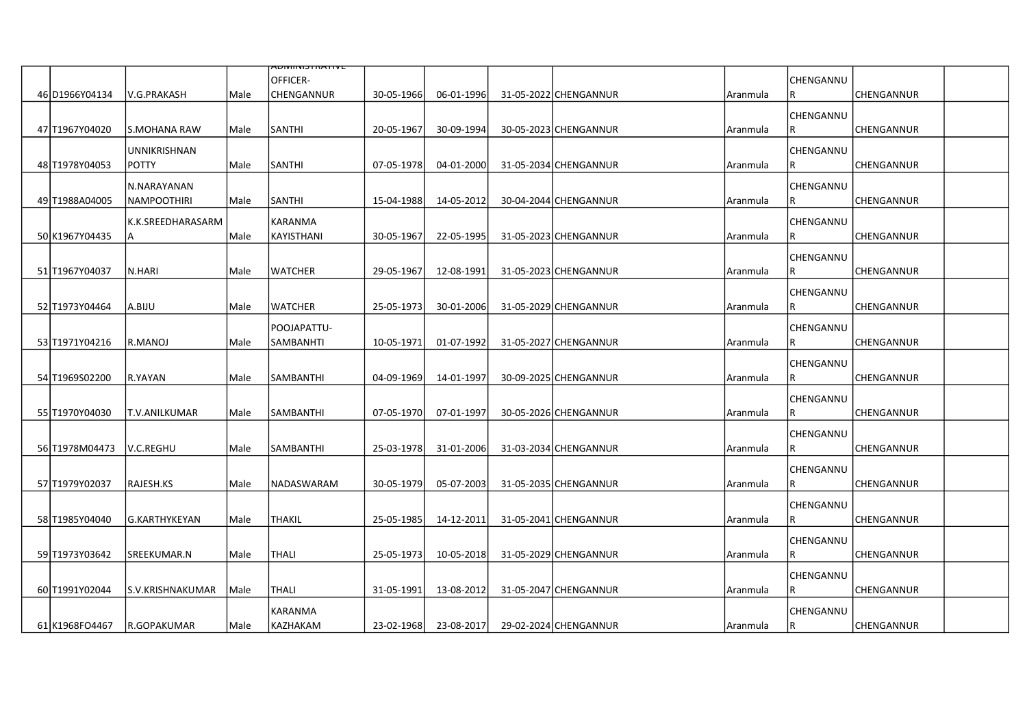|                 |                     |      | <del>ADIVIIIVIJTIVATIVE</del> |            |            |                       |          |           |                   |  |
|-----------------|---------------------|------|-------------------------------|------------|------------|-----------------------|----------|-----------|-------------------|--|
|                 |                     |      | OFFICER-                      |            |            |                       |          | CHENGANNU |                   |  |
| 46 D1966Y04134  | lV.G.PRAKASH        | Male | CHENGANNUR                    | 30-05-1966 | 06-01-1996 | 31-05-2022 CHENGANNUR | Aranmula | R         | CHENGANNUR        |  |
|                 |                     |      |                               |            |            |                       |          | CHENGANNU |                   |  |
| 47 T1967Y04020  | ls.MOHANA RAW       | Male | <b>SANTHI</b>                 | 20-05-1967 | 30-09-1994 | 30-05-2023 CHENGANNUR | Aranmula | R         | <b>CHENGANNUR</b> |  |
|                 | <b>UNNIKRISHNAN</b> |      |                               |            |            |                       |          | CHENGANNU |                   |  |
| 48 T1978 Y04053 | IPOTTY              | Male | <b>SANTHI</b>                 | 07-05-1978 | 04-01-2000 | 31-05-2034 CHENGANNUR | Aranmula | R         | CHENGANNUR        |  |
|                 | N.NARAYANAN         |      |                               |            |            |                       |          | CHENGANNU |                   |  |
| 49 T1988A04005  | INAMPOOTHIRI        | Male | <b>SANTHI</b>                 | 15-04-1988 | 14-05-2012 | 30-04-2044 CHENGANNUR | Aranmula | R         | <b>CHENGANNUR</b> |  |
|                 | K.K.SREEDHARASARM   |      | KARANMA                       |            |            |                       |          | CHENGANNU |                   |  |
| 50 K1967Y04435  | IA.                 | Male | KAYISTHANI                    | 30-05-1967 | 22-05-1995 | 31-05-2023 CHENGANNUR | Aranmula | R         | <b>CHENGANNUR</b> |  |
|                 |                     |      |                               |            |            |                       |          | CHENGANNU |                   |  |
| 51 T1967Y04037  | N.HARI              | Male | <b>WATCHER</b>                | 29-05-1967 | 12-08-1991 | 31-05-2023 CHENGANNUR | Aranmula | R         | lCHENGANNUR       |  |
|                 |                     |      |                               |            |            |                       |          | CHENGANNU |                   |  |
| 52 T1973 Y04464 | A.BIJU              | Male | <b>WATCHER</b>                | 25-05-1973 | 30-01-2006 | 31-05-2029 CHENGANNUR | Aranmula | R         | CHENGANNUR        |  |
|                 |                     |      | POOJAPATTU-                   |            |            |                       |          | CHENGANNU |                   |  |
| 53 T1971Y04216  | IR.MANOJ            | Male | <b>SAMBANHTI</b>              | 10-05-1971 | 01-07-1992 | 31-05-2027 CHENGANNUR | Aranmula | R         | <b>CHENGANNUR</b> |  |
|                 |                     |      |                               |            |            |                       |          | CHENGANNU |                   |  |
| 54 T1969S02200  | R.YAYAN             | Male | SAMBANTHI                     | 04-09-1969 | 14-01-1997 | 30-09-2025 CHENGANNUR | Aranmula | R         | CHENGANNUR        |  |
|                 |                     |      |                               |            |            |                       |          | CHENGANNU |                   |  |
| 55 T1970Y04030  | T.V.ANILKUMAR       | Male | SAMBANTHI                     | 07-05-1970 | 07-01-1997 | 30-05-2026 CHENGANNUR | Aranmula | R         | CHENGANNUR        |  |
|                 |                     |      |                               |            |            |                       |          | CHENGANNU |                   |  |
| 56 T1978M04473  | lv.c.reghu          | Male | SAMBANTHI                     | 25-03-1978 | 31-01-2006 | 31-03-2034 CHENGANNUR | Aranmula | IR.       | lCHENGANNUR       |  |
|                 |                     |      |                               |            |            |                       |          | CHENGANNU |                   |  |
| 57 T1979Y02037  | RAJESH.KS           | Male | NADASWARAM                    | 30-05-1979 | 05-07-2003 | 31-05-2035 CHENGANNUR | Aranmula | IR.       | CHENGANNUR        |  |
|                 |                     |      |                               |            |            |                       |          | CHENGANNU |                   |  |
| 58 T1985Y04040  | lG.KARTHYKEYAN      | Male | <b>THAKIL</b>                 | 25-05-1985 | 14-12-2011 | 31-05-2041 CHENGANNUR | Aranmula | R         | <b>CHENGANNUR</b> |  |
|                 |                     |      |                               |            |            |                       |          | CHENGANNU |                   |  |
| 59 T1973 Y03642 | SREEKUMAR.N         | Male | THALI                         | 25-05-1973 | 10-05-2018 | 31-05-2029 CHENGANNUR | Aranmula | IR.       | <b>CHENGANNUR</b> |  |
|                 |                     |      |                               |            |            |                       |          | CHENGANNU |                   |  |
| 60 T1991Y02044  | S.V.KRISHNAKUMAR    | Male | <b>THALI</b>                  | 31-05-1991 | 13-08-2012 | 31-05-2047 CHENGANNUR | Aranmula | R         | CHENGANNUR        |  |
|                 |                     |      | KARANMA                       |            |            |                       |          | CHENGANNU |                   |  |
| 61 K1968 FO4467 | R.GOPAKUMAR         | Male | KAZHAKAM                      | 23-02-1968 | 23-08-2017 | 29-02-2024 CHENGANNUR | Aranmula | R         | <b>CHENGANNUR</b> |  |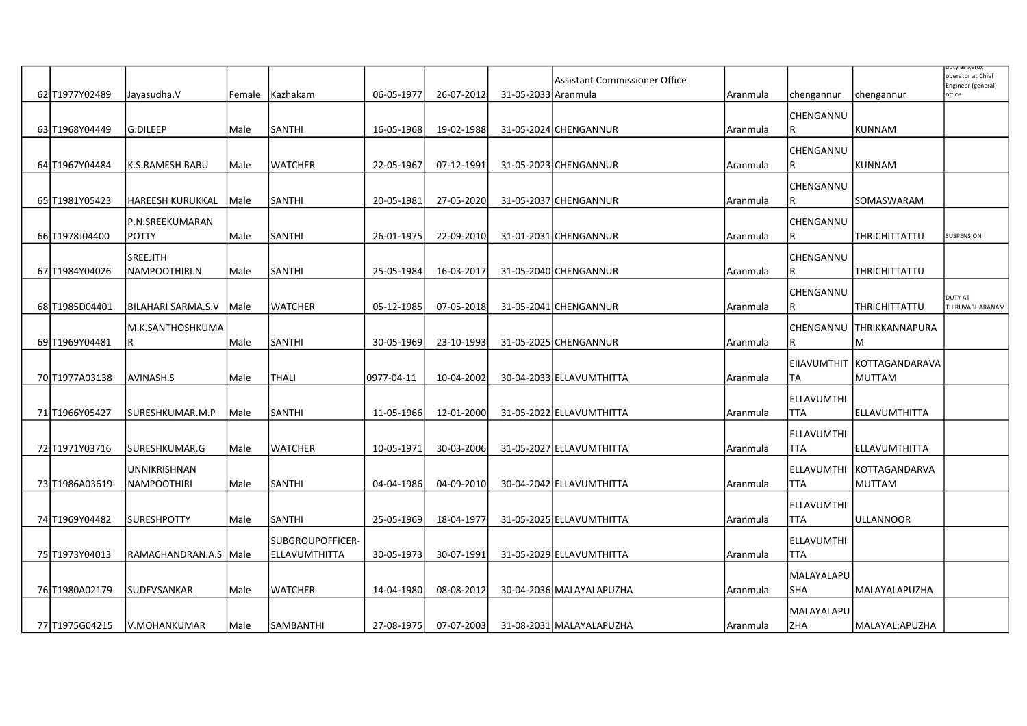|                 |                         |        |                  |            |            |                     |                               |          |                   |                            | iuty as xerox                           |
|-----------------|-------------------------|--------|------------------|------------|------------|---------------------|-------------------------------|----------|-------------------|----------------------------|-----------------------------------------|
|                 |                         |        |                  |            |            |                     | Assistant Commissioner Office |          |                   |                            | operator at Chief<br>Engineer (general) |
| 62 T1977Y02489  | Jayasudha.V             | Female | Kazhakam         | 06-05-1977 | 26-07-2012 | 31-05-2033 Aranmula |                               | Aranmula | chengannur        | chengannur                 | office                                  |
|                 |                         |        |                  |            |            |                     |                               |          | CHENGANNU         |                            |                                         |
| 63 T1968 Y04449 | G.DILEEP                | Male   | SANTHI           | 16-05-1968 | 19-02-1988 |                     | 31-05-2024 CHENGANNUR         |          | IR.               | KUNNAM                     |                                         |
|                 |                         |        |                  |            |            |                     |                               | Aranmula |                   |                            |                                         |
|                 |                         |        |                  |            |            |                     |                               |          | CHENGANNU         |                            |                                         |
| 64 T1967Y04484  | K.S.RAMESH BABU         | Male   | WATCHER          | 22-05-1967 | 07-12-1991 |                     | 31-05-2023 CHENGANNUR         | Aranmula | R                 | <b>KUNNAM</b>              |                                         |
|                 |                         |        |                  |            |            |                     |                               |          | CHENGANNU         |                            |                                         |
| 65 T1981Y05423  | <b>HAREESH KURUKKAL</b> | Male   | SANTHI           | 20-05-1981 | 27-05-2020 |                     | 31-05-2037 CHENGANNUR         | Aranmula | R                 | SOMASWARAM                 |                                         |
|                 |                         |        |                  |            |            |                     |                               |          |                   |                            |                                         |
|                 | P.N.SREEKUMARAN         |        |                  |            |            |                     |                               |          | CHENGANNU         |                            |                                         |
| 66 T1978 J04400 | <b>POTTY</b>            | Male   | SANTHI           | 26-01-1975 | 22-09-2010 |                     | 31-01-2031 CHENGANNUR         | Aranmula | R                 | THRICHITTATTU              | SUSPENSION                              |
|                 | <b>SREEJITH</b>         |        |                  |            |            |                     |                               |          | CHENGANNU         |                            |                                         |
| 67 T1984Y04026  | NAMPOOTHIRI.N           | Male   | SANTHI           | 25-05-1984 | 16-03-2017 |                     | 31-05-2040 CHENGANNUR         | Aranmula | R                 | <b>THRICHITTATTU</b>       |                                         |
|                 |                         |        |                  |            |            |                     |                               |          |                   |                            |                                         |
|                 |                         |        |                  |            |            |                     |                               |          | CHENGANNU         |                            | <b>DUTY AT</b>                          |
| 68 T1985D04401  | BILAHARI SARMA.S.V Male |        | <b>WATCHER</b>   | 05-12-1985 | 07-05-2018 |                     | 31-05-2041 CHENGANNUR         | Aranmula | IR.               | THRICHITTATTU              | THIRUVABHARANAM                         |
|                 | M.K.SANTHOSHKUMA        |        |                  |            |            |                     |                               |          |                   | CHENGANNU THRIKKANNAPURA   |                                         |
| 69 T1969 Y04481 | R                       | lMale  | <b>SANTHI</b>    | 30-05-1969 | 23-10-1993 |                     | 31-05-2025 CHENGANNUR         | Aranmula | R.                | lМ                         |                                         |
|                 |                         |        |                  |            |            |                     |                               |          |                   | EIIAVUMTHIT KOTTAGANDARAVA |                                         |
|                 | AVINASH.S               | Male   | THALI            | 0977-04-11 |            |                     | 30-04-2033 ELLAVUMTHITTA      |          | lTA               | <b>MUTTAM</b>              |                                         |
| 70 T1977A03138  |                         |        |                  |            | 10-04-2002 |                     |                               | Aranmula |                   |                            |                                         |
|                 |                         |        |                  |            |            |                     |                               |          | <b>ELLAVUMTHI</b> |                            |                                         |
| 71 T1966Y05427  | SURESHKUMAR.M.P         | Male   | SANTHI           | 11-05-1966 | 12-01-2000 |                     | 31-05-2022 ELLAVUMTHITTA      | Aranmula | <b>TTA</b>        | ELLAVUMTHITTA              |                                         |
|                 |                         |        |                  |            |            |                     |                               |          | <b>ELLAVUMTHI</b> |                            |                                         |
| 72 T1971Y03716  | SURESHKUMAR.G           | Male   | <b>WATCHER</b>   | 10-05-1971 | 30-03-2006 |                     | 31-05-2027 ELLAVUMTHITTA      | Aranmula | <b>TTA</b>        | ELLAVUMTHITTA              |                                         |
|                 |                         |        |                  |            |            |                     |                               |          |                   |                            |                                         |
|                 | UNNIKRISHNAN            |        |                  |            |            |                     |                               |          | <b>ELLAVUMTHI</b> | KOTTAGANDARVA              |                                         |
| 73 T1986A03619  | <b>NAMPOOTHIRI</b>      | Male   | SANTHI           | 04-04-1986 | 04-09-2010 |                     | 30-04-2042 ELLAVUMTHITTA      | Aranmula | <b>TTA</b>        | <b>MUTTAM</b>              |                                         |
|                 |                         |        |                  |            |            |                     |                               |          | ELLAVUMTHI        |                            |                                         |
| 74 T1969Y04482  | <b>SURESHPOTTY</b>      | Male   | SANTHI           | 25-05-1969 | 18-04-1977 |                     | 31-05-2025 ELLAVUMTHITTA      | Aranmula | <b>TTA</b>        | <b>JULLANNOOR</b>          |                                         |
|                 |                         |        | SUBGROUPOFFICER- |            |            |                     |                               |          | ELLAVUMTHI        |                            |                                         |
| 75 T1973 Y04013 | RAMACHANDRAN.A.S   Male |        | ELLAVUMTHITTA    | 30-05-1973 | 30-07-1991 |                     | 31-05-2029 ELLAVUMTHITTA      | Aranmula | <b>TTA</b>        |                            |                                         |
|                 |                         |        |                  |            |            |                     |                               |          |                   |                            |                                         |
|                 |                         |        |                  |            |            |                     |                               |          | MALAYALAPU        |                            |                                         |
| 76 T1980A02179  | SUDEVSANKAR             | Male   | <b>WATCHER</b>   | 14-04-1980 | 08-08-2012 |                     | 30-04-2036 MALAYALAPUZHA      | Aranmula | <b>SHA</b>        | MALAYALAPUZHA              |                                         |
|                 |                         |        |                  |            |            |                     |                               |          | MALAYALAPU        |                            |                                         |
| 77 T1975 G04215 | lv.MOHANKUMAR           | Male   | SAMBANTHI        | 27-08-1975 | 07-07-2003 |                     | 31-08-2031 MALAYALAPUZHA      | Aranmula | ZHA               | MALAYAL; APUZHA            |                                         |
|                 |                         |        |                  |            |            |                     |                               |          |                   |                            |                                         |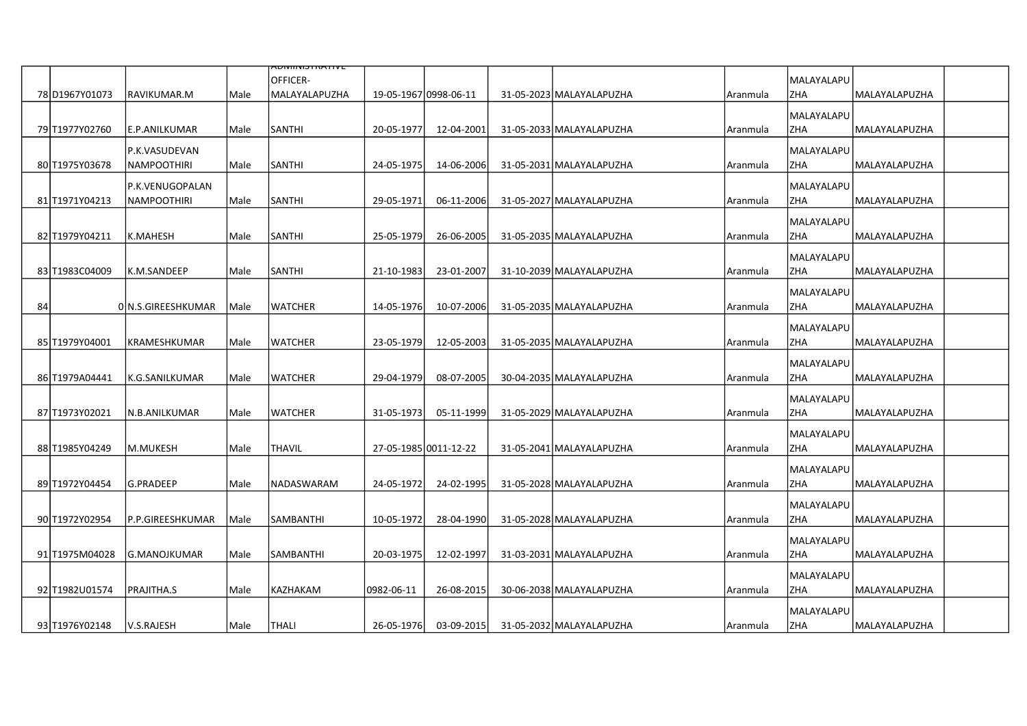|    |                 |                     |      | ᠊᠍ᡪᠳ᠌ᠬᠬᡕᠴ᠇ᠢᠵ᠇᠇ᢦᡄ          |                       |            |                          |          |                          |                              |  |
|----|-----------------|---------------------|------|---------------------------|-----------------------|------------|--------------------------|----------|--------------------------|------------------------------|--|
|    | 78 D1967Y01073  | RAVIKUMAR.M         | Male | OFFICER-<br>MALAYALAPUZHA | 19-05-1967 0998-06-11 |            | 31-05-2023 MALAYALAPUZHA | Aranmula | MALAYALAPU<br><b>ZHA</b> | MALAYALAPUZHA                |  |
|    |                 |                     |      |                           |                       |            |                          |          |                          |                              |  |
|    |                 |                     |      |                           |                       |            |                          |          | MALAYALAPU               |                              |  |
|    | 79 T1977Y02760  | E.P.ANILKUMAR       | Male | SANTHI                    | 20-05-1977            | 12-04-2001 | 31-05-2033 MALAYALAPUZHA | Aranmula | <b>ZHA</b>               | <b>MALAYALAPUZHA</b>         |  |
|    |                 | P.K.VASUDEVAN       |      |                           |                       |            |                          |          | MALAYALAPU               |                              |  |
|    | 80 T1975 Y03678 | <b>NAMPOOTHIRI</b>  | Male | SANTHI                    | 24-05-1975            | 14-06-2006 | 31-05-2031 MALAYALAPUZHA | Aranmula | ZHA                      | MALAYALAPUZHA                |  |
|    |                 | P.K.VENUGOPALAN     |      |                           |                       |            |                          |          | MALAYALAPU               |                              |  |
|    | 81 T1971 Y04213 | <b>NAMPOOTHIRI</b>  | Male | SANTHI                    | 29-05-1971            | 06-11-2006 | 31-05-2027 MALAYALAPUZHA | Aranmula | <b>ZHA</b>               | IMALAYALAPUZHA               |  |
|    |                 |                     |      |                           |                       |            |                          |          |                          |                              |  |
|    | 82 T1979Y04211  | lk.MAHESH           | Male | SANTHI                    | 25-05-1979            | 26-06-2005 | 31-05-2035 MALAYALAPUZHA | Aranmula | MALAYALAPU<br>lzha       | MALAYALAPUZHA                |  |
|    |                 |                     |      |                           |                       |            |                          |          |                          |                              |  |
|    |                 |                     |      |                           |                       |            |                          |          | <b>MALAYALAPU</b>        |                              |  |
|    | 83 T1983C04009  | K.M.SANDEEP         | Male | SANTHI                    | 21-10-1983            | 23-01-2007 | 31-10-2039 MALAYALAPUZHA | Aranmula | <b>ZHA</b>               | MALAYALAPUZHA                |  |
|    |                 |                     |      |                           |                       |            |                          |          | MALAYALAPU               |                              |  |
| 84 |                 | 0 N.S.GIREESHKUMAR  | Male | <b>WATCHER</b>            | 14-05-1976            | 10-07-2006 | 31-05-2035 MALAYALAPUZHA | Aranmula | <b>ZHA</b>               | MALAYALAPUZHA                |  |
|    |                 |                     |      |                           |                       |            |                          |          | MALAYALAPU               |                              |  |
|    | 85 T1979Y04001  | <b>KRAMESHKUMAR</b> | Male | <b>WATCHER</b>            | 23-05-1979            | 12-05-2003 | 31-05-2035 MALAYALAPUZHA | Aranmula | <b>ZHA</b>               | MALAYALAPUZHA                |  |
|    |                 |                     |      |                           |                       |            |                          |          |                          |                              |  |
|    |                 |                     |      |                           |                       |            |                          |          | MALAYALAPU               |                              |  |
|    | 86 T1979A04441  | lk.G.SANILKUMAR     | Male | <b>WATCHER</b>            | 29-04-1979            | 08-07-2005 | 30-04-2035 MALAYALAPUZHA | Aranmula | <b>ZHA</b>               | <b>MALAYALAPUZHA</b>         |  |
|    |                 |                     |      |                           |                       |            |                          |          | MALAYALAPU               |                              |  |
|    | 87 T1973 Y02021 | N.B.ANILKUMAR       | Male | WATCHER                   | 31-05-1973            | 05-11-1999 | 31-05-2029 MALAYALAPUZHA | Aranmula | ZHA                      | MALAYALAPUZHA                |  |
|    |                 |                     |      |                           |                       |            |                          |          | MALAYALAPU               |                              |  |
|    | 88 T1985 Y04249 | lm.mukesh           | Male | THAVIL                    | 27-05-1985 0011-12-22 |            | 31-05-2041 MALAYALAPUZHA | Aranmula | lzha                     | <i><b>IMALAYALAPUZHA</b></i> |  |
|    |                 |                     |      |                           |                       |            |                          |          | MALAYALAPU               |                              |  |
|    | 89 T1972 Y04454 | lG.PRADEEP          | Male | NADASWARAM                | 24-05-1972            | 24-02-1995 | 31-05-2028 MALAYALAPUZHA | Aranmula | <b>ZHA</b>               | lMALAYALAPUZHA               |  |
|    |                 |                     |      |                           |                       |            |                          |          |                          |                              |  |
|    |                 |                     |      |                           |                       |            |                          |          | <b>MALAYALAPU</b>        |                              |  |
|    | 90 T1972Y02954  | P.P.GIREESHKUMAR    | Male | <b>SAMBANTHI</b>          | 10-05-1972            | 28-04-1990 | 31-05-2028 MALAYALAPUZHA | Aranmula | <b>ZHA</b>               | MALAYALAPUZHA                |  |
|    |                 |                     |      |                           |                       |            |                          |          | MALAYALAPU               |                              |  |
|    | 91 T1975M04028  | G.MANOJKUMAR        | Male | SAMBANTHI                 | 20-03-1975            | 12-02-1997 | 31-03-2031 MALAYALAPUZHA | Aranmula | <b>ZHA</b>               | MALAYALAPUZHA                |  |
|    |                 |                     |      |                           |                       |            |                          |          | MALAYALAPU               |                              |  |
|    | 92 T1982 U01574 | PRAJITHA.S          | Male | KAZHAKAM                  | 0982-06-11            | 26-08-2015 | 30-06-2038 MALAYALAPUZHA | Aranmula | <b>ZHA</b>               | <i>MALAYALAPUZHA</i>         |  |
|    |                 |                     |      |                           |                       |            |                          |          | MALAYALAPU               |                              |  |
|    | 93 T1976Y02148  | V.S.RAJESH          | Male | <b>THALI</b>              | 26-05-1976            | 03-09-2015 | 31-05-2032 MALAYALAPUZHA | Aranmula | <b>ZHA</b>               | MALAYALAPUZHA                |  |
|    |                 |                     |      |                           |                       |            |                          |          |                          |                              |  |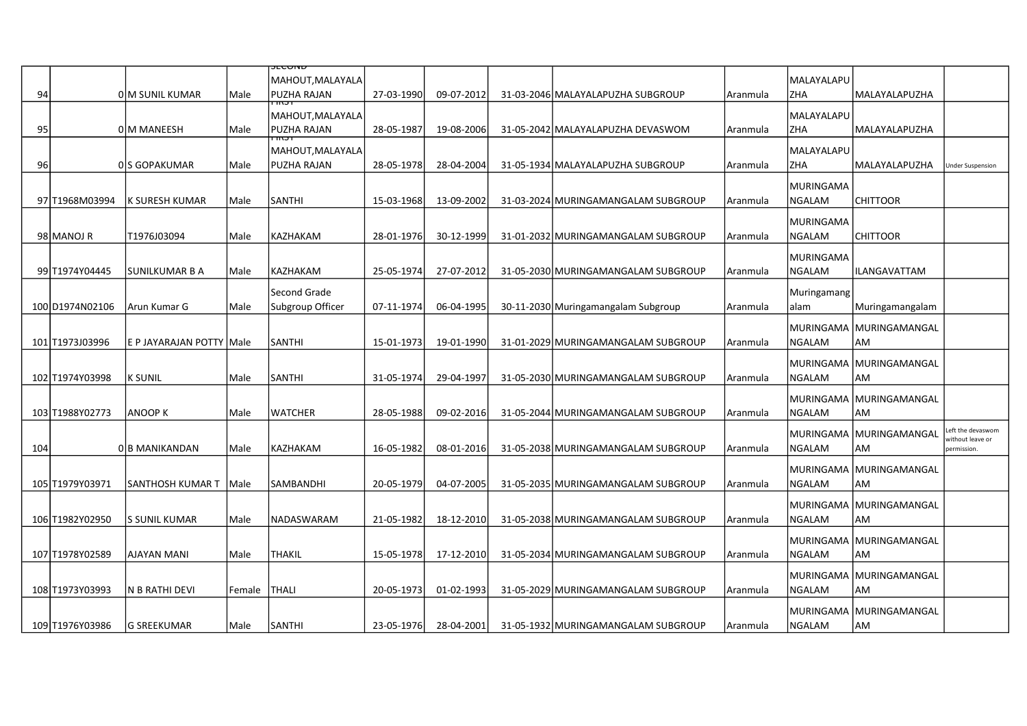|     |                 |                            |        | ᡂᡕᡂᠬ                                                              |            |            |                                     |          |                           |                                  |                                 |
|-----|-----------------|----------------------------|--------|-------------------------------------------------------------------|------------|------------|-------------------------------------|----------|---------------------------|----------------------------------|---------------------------------|
| 94  |                 | 0 M SUNIL KUMAR            | Male   | MAHOUT,MALAYALA <br><b>PUZHA RAJAN</b>                            | 27-03-1990 | 09-07-2012 | 31-03-2046 MALAYALAPUZHA SUBGROUP   | Aranmula | lMALAYALAPU<br><b>ZHA</b> | MALAYALAPUZHA                    |                                 |
| 95  |                 | 0 M MANEESH                | Male   | $\overline{\mathbf{m}}$<br>MAHOUT, MALAYALA<br><b>PUZHA RAJAN</b> | 28-05-1987 | 19-08-2006 | 31-05-2042 MALAYALAPUZHA DEVASWOM   | Aranmula | MALAYALAPU<br><b>ZHA</b>  | MALAYALAPUZHA                    |                                 |
|     |                 |                            |        |                                                                   |            |            |                                     |          |                           |                                  |                                 |
| 96  |                 |                            |        | MAHOUT, MALAYALA<br><b>PUZHA RAJAN</b>                            |            |            |                                     |          | MALAYALAPU<br><b>ZHA</b>  |                                  |                                 |
|     |                 | 0 S GOPAKUMAR              | Male   |                                                                   | 28-05-1978 | 28-04-2004 | 31-05-1934 MALAYALAPUZHA SUBGROUP   | Aranmula |                           | MALAYALAPUZHA                    | <b>Under Suspension</b>         |
|     | 97 T1968M03994  | K SURESH KUMAR             | Male   | SANTHI                                                            | 15-03-1968 | 13-09-2002 | 31-03-2024 MURINGAMANGALAM SUBGROUP | Aranmula | MURINGAMA<br>NGALAM       | <b>CHITTOOR</b>                  |                                 |
|     |                 |                            |        |                                                                   |            |            |                                     |          | MURINGAMA                 |                                  |                                 |
|     | 98 MANOJ R      | T1976J03094                | Male   | KAZHAKAM                                                          | 28-01-1976 | 30-12-1999 | 31-01-2032 MURINGAMANGALAM SUBGROUP | Aranmula | NGALAM                    | <b>CHITTOOR</b>                  |                                 |
|     | 99 T1974Y04445  | SUNILKUMAR B A             | Male   | KAZHAKAM                                                          | 25-05-1974 | 27-07-2012 | 31-05-2030 MURINGAMANGALAM SUBGROUP | Aranmula | MURINGAMA<br>NGALAM       | <b>ILANGAVATTAM</b>              |                                 |
|     |                 |                            |        |                                                                   |            |            |                                     |          |                           |                                  |                                 |
|     | 100 D1974N02106 | lArun Kumar G              | Male   | Second Grade<br>Subgroup Officer                                  | 07-11-1974 | 06-04-1995 | 30-11-2030 Muringamangalam Subgroup | Aranmula | Muringamang<br>alam       | Muringamangalam                  |                                 |
|     |                 |                            |        |                                                                   |            |            |                                     |          |                           |                                  |                                 |
|     | 101 T1973J03996 | E P JAYARAJAN POTTY   Male |        | <b>SANTHI</b>                                                     | 15-01-1973 | 19-01-1990 | 31-01-2029 MURINGAMANGALAM SUBGROUP | Aranmula | NGALAM                    | MURINGAMA   MURINGAMANGAL<br> AM |                                 |
|     |                 |                            |        |                                                                   |            |            |                                     |          |                           | MURINGAMA MURINGAMANGAL          |                                 |
|     | 102 T1974Y03998 | K SUNIL                    | Male   | <b>SANTHI</b>                                                     | 31-05-1974 | 29-04-1997 | 31-05-2030 MURINGAMANGALAM SUBGROUP | Aranmula | NGALAM                    | AM                               |                                 |
|     |                 |                            |        |                                                                   |            |            |                                     |          |                           | MURINGAMA   MURINGAMANGAL        |                                 |
|     | 103 T1988Y02773 | <b>ANOOP K</b>             | Male   | <b>WATCHER</b>                                                    | 28-05-1988 | 09-02-2016 | 31-05-2044 MURINGAMANGALAM SUBGROUP | Aranmula | NGALAM                    | AM                               |                                 |
|     |                 |                            |        |                                                                   |            |            |                                     |          |                           | MURINGAMA   MURINGAMANGAL        | eft the devaswom.               |
| 104 |                 | 0 B MANIKANDAN             | Male   | KAZHAKAM                                                          | 16-05-1982 | 08-01-2016 | 31-05-2038 MURINGAMANGALAM SUBGROUP | Aranmula | NGALAM                    | <b>AM</b>                        | vithout leave or<br>permission. |
|     |                 |                            |        |                                                                   |            |            |                                     |          |                           | MURINGAMA  MURINGAMANGAL         |                                 |
|     | 105 T1979Y03971 | SANTHOSH KUMAR T           | Male   | SAMBANDHI                                                         | 20-05-1979 | 04-07-2005 | 31-05-2035 MURINGAMANGALAM SUBGROUP | Aranmula | <b>NGALAM</b>             | AM                               |                                 |
|     |                 |                            |        |                                                                   |            |            |                                     |          |                           | MURINGAMA   MURINGAMANGAL        |                                 |
|     | 106 T1982Y02950 | S SUNIL KUMAR              | Male   | NADASWARAM                                                        | 21-05-1982 | 18-12-2010 | 31-05-2038 MURINGAMANGALAM SUBGROUP | Aranmula | NGALAM                    | AM                               |                                 |
|     |                 |                            |        |                                                                   |            |            |                                     |          |                           | MURINGAMA  MURINGAMANGAL         |                                 |
|     | 107 T1978Y02589 | <b>AJAYAN MANI</b>         | Male   | <b>THAKIL</b>                                                     | 15-05-1978 | 17-12-2010 | 31-05-2034 MURINGAMANGALAM SUBGROUP | Aranmula | NGALAM                    | <b>AM</b>                        |                                 |
|     |                 |                            |        |                                                                   |            |            |                                     |          |                           | MURINGAMA MURINGAMANGAL          |                                 |
|     | 108 T1973Y03993 | N B RATHI DEVI             | Female | <b>THALI</b>                                                      | 20-05-1973 | 01-02-1993 | 31-05-2029 MURINGAMANGALAM SUBGROUP | Aranmula | <b>NGALAM</b>             | AM                               |                                 |
|     |                 |                            |        |                                                                   |            |            |                                     |          |                           | MURINGAMA   MURINGAMANGAL        |                                 |
|     | 109 T1976Y03986 | <b>G SREEKUMAR</b>         | Male   | SANTHI                                                            | 23-05-1976 | 28-04-2001 | 31-05-1932 MURINGAMANGALAM SUBGROUP | Aranmula | NGALAM                    | AM                               |                                 |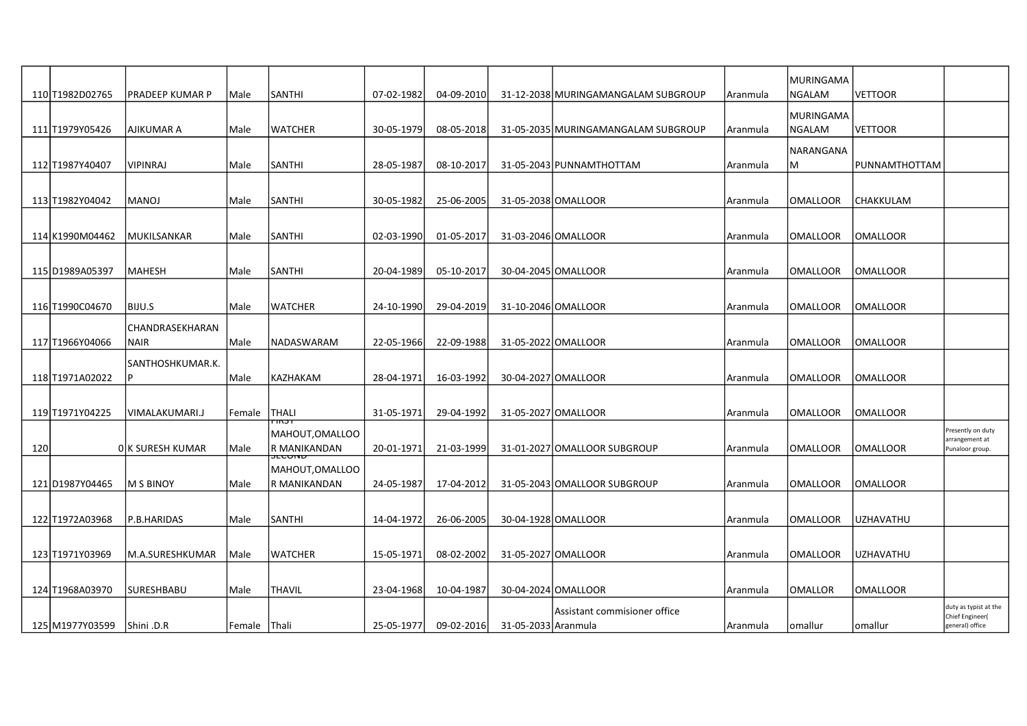|     | 110 T1982D02765  | IPRADEEP KUMAR P         | Male   | <b>SANTHI</b>                       | 07-02-1982 | 04-09-2010 |                     | 31-12-2038 MURINGAMANGALAM SUBGROUP | Aranmula   | MURINGAMA<br>NGALAM        | VETTOOR          |                                                             |
|-----|------------------|--------------------------|--------|-------------------------------------|------------|------------|---------------------|-------------------------------------|------------|----------------------------|------------------|-------------------------------------------------------------|
|     | 111 T1979 Y05426 | AJIKUMAR A               | Male   | <b>WATCHER</b>                      | 30-05-1979 | 08-05-2018 |                     | 31-05-2035 MURINGAMANGALAM SUBGROUP | Aranmula   | MURINGAMA<br><b>NGALAM</b> | <b>VETTOOR</b>   |                                                             |
|     |                  |                          |        |                                     |            |            |                     |                                     |            | NARANGANA                  |                  |                                                             |
|     | 112 T1987Y40407  | <b>VIPINRAJ</b>          | Male   | <b>SANTHI</b>                       | 28-05-1987 | 08-10-2017 |                     | 31-05-2043 PUNNAMTHOTTAM            | Aranmula   | M                          | PUNNAMTHOTTAM    |                                                             |
|     | 113 T1982Y04042  | MANOJ                    | Male   | <b>SANTHI</b>                       | 30-05-1982 | 25-06-2005 |                     | 31-05-2038 OMALLOOR                 | Aranmula   | <b>OMALLOOR</b>            | CHAKKULAM        |                                                             |
|     | 114 K1990M04462  | MUKILSANKAR              | Male   | <b>SANTHI</b>                       | 02-03-1990 | 01-05-2017 |                     | 31-03-2046 OMALLOOR                 | Aranmula   | OMALLOOR                   | OMALLOOR         |                                                             |
|     |                  |                          |        |                                     |            |            |                     |                                     |            |                            |                  |                                                             |
|     | 115D1989A05397   | <b>MAHESH</b>            | Male   | <b>SANTHI</b>                       | 20-04-1989 | 05-10-2017 |                     | 30-04-2045 OMALLOOR                 | l Aranmula | <b>OMALLOOR</b>            | IOMALLOOR        |                                                             |
|     | 116 T1990C04670  | BIJU.S                   | Male   | <b>WATCHER</b>                      | 24-10-1990 | 29-04-2019 |                     | 31-10-2046 OMALLOOR                 | Aranmula   | <b>OMALLOOR</b>            | IOMALLOOR        |                                                             |
|     | 117 T1966Y04066  | CHANDRASEKHARAN<br> NAIR | Male   | NADASWARAM                          | 22-05-1966 | 22-09-1988 |                     | 31-05-2022 OMALLOOR                 |            | OMALLOOR                   | IOMALLOOR        |                                                             |
|     |                  | SANTHOSHKUMAR.K.         |        |                                     |            |            |                     |                                     | Aranmula   |                            |                  |                                                             |
|     | 118 T1971A02022  |                          | Male   | KAZHAKAM                            | 28-04-1971 | 16-03-1992 |                     | 30-04-2027 OMALLOOR                 | Aranmula   | <b>OMALLOOR</b>            | IOMALLOOR        |                                                             |
|     |                  |                          |        |                                     |            |            |                     |                                     |            |                            |                  |                                                             |
|     | 119 T1971Y04225  | VIMALAKUMARI.J           | Female | <b>THALI</b>                        | 31-05-1971 | 29-04-1992 |                     | 31-05-2027 OMALLOOR                 | Aranmula   | <b>OMALLOOR</b>            | <b>OMALLOOR</b>  |                                                             |
| 120 |                  | OK SURESH KUMAR          | Male   | MAHOUT,OMALLOO<br>R MANIKANDAN      | 20-01-1971 | 21-03-1999 |                     | 31-01-2027 OMALLOOR SUBGROUP        | Aranmula   | OMALLOOR                   | OMALLOOR         | Presently on duty<br>arrangement at<br>Punaloor group       |
|     |                  |                          |        | <del>JECON</del><br>MAHOUT, OMALLOO |            |            |                     |                                     |            |                            |                  |                                                             |
|     | 121 D1987Y04465  | IM S BINOY               | Male   | R MANIKANDAN                        | 24-05-1987 | 17-04-2012 |                     | 31-05-2043 OMALLOOR SUBGROUP        | Aranmula   | <b>OMALLOOR</b>            | lomalloor        |                                                             |
|     | 122 T1972A03968  | P.B.HARIDAS              | Male   | <b>SANTHI</b>                       | 14-04-1972 | 26-06-2005 |                     | 30-04-1928 OMALLOOR                 | l Aranmula | <b>OMALLOOR</b>            | luzhavathu       |                                                             |
|     | 123 T1971Y03969  | lM.A.SURESHKUMAR         | Male   | <b>WATCHER</b>                      | 15-05-1971 | 08-02-2002 |                     | 31-05-2027 OMALLOOR                 | Aranmula   | OMALLOOR                   | <b>UZHAVATHU</b> |                                                             |
|     | 124 T1968A03970  | <b>SURESHBABU</b>        | Male   | <b>THAVIL</b>                       | 23-04-1968 | 10-04-1987 |                     | 30-04-2024 OMALLOOR                 | l Aranmula | <b>OMALLOR</b>             | IOMALLOOR        |                                                             |
|     | 125 M1977Y03599  | Shini .D.R               | Female | <b>Thali</b>                        | 25-05-1977 | 09-02-2016 | 31-05-2033 Aranmula | Assistant commisioner office        | Aranmula   | omallur                    | omallur          | duty as typist at the<br>Chief Engineer(<br>general) office |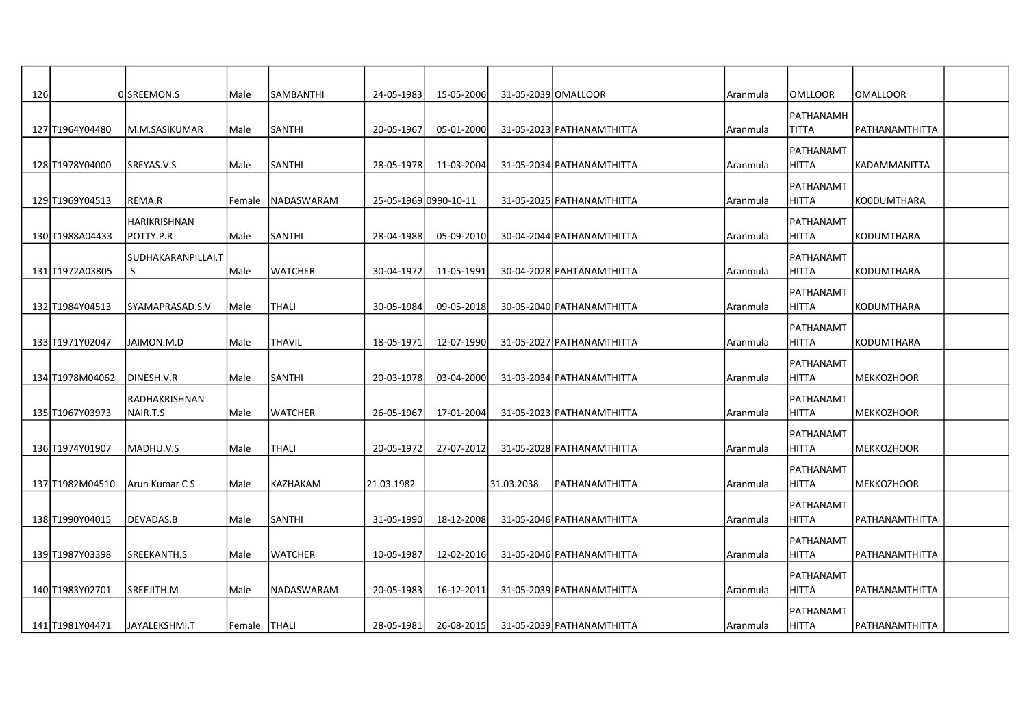| 126 |                  | 0SREEMON.S          | Male          | SAMBANTHI      | 24-05-1983            | 15-05-2006 | 31-05-2039 OMALLOOR |                           | Aranmula | <b>OMLLOOR</b>     | OMALLOOR              |  |
|-----|------------------|---------------------|---------------|----------------|-----------------------|------------|---------------------|---------------------------|----------|--------------------|-----------------------|--|
|     |                  |                     |               |                |                       |            |                     |                           |          | PATHANAMH          |                       |  |
|     | 127 T1964Y04480  | M.M.SASIKUMAR       | Male          | SANTHI         | 20-05-1967            | 05-01-2000 |                     | 31-05-2023 PATHANAMTHITTA | Aranmula | <b>TITTA</b>       | <b>PATHANAMTHITTA</b> |  |
|     |                  |                     |               |                |                       |            |                     |                           |          | PATHANAMT          |                       |  |
|     | 128 T1978 Y04000 | SREYAS.V.S          | Male          | SANTHI         | 28-05-1978            | 11-03-2004 |                     | 31-05-2034 PATHANAMTHITTA | Aranmula | HITTA              | KADAMMANITTA          |  |
|     |                  |                     |               |                |                       |            |                     |                           |          | PATHANAMT          |                       |  |
|     | 129 T1969 Y04513 | REMA.R              | Female        | NADASWARAM     | 25-05-1969 0990-10-11 |            |                     | 31-05-2025 PATHANAMTHITTA | Aranmula | <b>HITTA</b>       | KO0DUMTHARA           |  |
|     |                  | <b>HARIKRISHNAN</b> |               |                |                       |            |                     |                           |          | PATHANAMT          |                       |  |
|     | 130 T1988A04433  | POTTY.P.R           | Male          | <b>SANTHI</b>  | 28-04-1988            | 05-09-2010 |                     | 30-04-2044 PATHANAMTHITTA | Aranmula | <b>HITTA</b>       | <b>KODUMTHARA</b>     |  |
|     |                  | SUDHAKARANPILLAI.T  |               |                |                       |            |                     |                           |          | PATHANAMT          |                       |  |
|     | 131 T1972A03805  | .S                  | Male          | <b>WATCHER</b> | 30-04-1972            | 11-05-1991 |                     | 30-04-2028 PAHTANAMTHITTA | Aranmula | HITTA              | KODUMTHARA            |  |
|     |                  |                     |               |                |                       |            |                     |                           |          |                    |                       |  |
|     | 132 T1984Y04513  | SYAMAPRASAD.S.V     | Male          | THALI          | 30-05-1984            | 09-05-2018 |                     | 30-05-2040 PATHANAMTHITTA | Aranmula | PATHANAMT<br>HITTA | KODUMTHARA            |  |
|     |                  |                     |               |                |                       |            |                     |                           |          |                    |                       |  |
|     |                  |                     |               |                |                       |            |                     |                           |          | PATHANAMT          |                       |  |
|     | 133 T1971Y02047  | JAIMON.M.D          | Male          | <b>THAVIL</b>  | 18-05-1971            | 12-07-1990 |                     | 31-05-2027 PATHANAMTHITTA | Aranmula | HITTA              | KODUMTHARA            |  |
|     |                  |                     |               |                |                       |            |                     |                           |          | PATHANAMT          |                       |  |
|     | 134 T1978M04062  | DINESH.V.R          | Male          | SANTHI         | 20-03-1978            | 03-04-2000 |                     | 31-03-2034 PATHANAMTHITTA | Aranmula | HITTA              | <b>MEKKOZHOOR</b>     |  |
|     |                  | RADHAKRISHNAN       |               |                |                       |            |                     |                           |          | PATHANAMT          |                       |  |
|     | 135 T1967Y03973  | NAIR.T.S            | Male          | <b>WATCHER</b> | 26-05-1967            | 17-01-2004 |                     | 31-05-2023 PATHANAMTHITTA | Aranmula | <b>HITTA</b>       | <b>IMEKKOZHOOR</b>    |  |
|     |                  |                     |               |                |                       |            |                     |                           |          | PATHANAMT          |                       |  |
|     | 136 T1974 Y01907 | MADHU.V.S           | Male          | <b>THALI</b>   | 20-05-1972            | 27-07-2012 |                     | 31-05-2028 PATHANAMTHITTA | Aranmula | <b>HITTA</b>       | MEKKOZHOOR            |  |
|     |                  |                     |               |                |                       |            |                     |                           |          | PATHANAMT          |                       |  |
|     | 137 T1982M04510  | Arun Kumar C S      | Male          | KAZHAKAM       | 21.03.1982            |            | 31.03.2038          | PATHANAMTHITTA            | Aranmula | <b>HITTA</b>       | <b>MEKKOZHOOR</b>     |  |
|     |                  |                     |               |                |                       |            |                     |                           |          | PATHANAMT          |                       |  |
|     | 138 T1990Y04015  | DEVADAS.B           | Male          | SANTHI         | 31-05-1990            | 18-12-2008 |                     | 31-05-2046 PATHANAMTHITTA | Aranmula | <b>HITTA</b>       | <b>PATHANAMTHITTA</b> |  |
|     |                  |                     |               |                |                       |            |                     |                           |          | PATHANAMT          |                       |  |
|     | 139 T1987Y03398  | SREEKANTH.S         | Male          | WATCHER        | 10-05-1987            | 12-02-2016 |                     | 31-05-2046 PATHANAMTHITTA | Aranmula | <b>HITTA</b>       | PATHANAMTHITTA        |  |
|     |                  |                     |               |                |                       |            |                     |                           |          | PATHANAMT          |                       |  |
|     | 140JT1983Y02701  | lsreejith.M         | Male          | NADASWARAM     | 20-05-1983            | 16-12-2011 |                     | 31-05-2039 PATHANAMTHITTA | Aranmula | HITTA              | PATHANAMTHITTA        |  |
|     |                  |                     |               |                |                       |            |                     |                           |          | PATHANAMT          |                       |  |
|     | 141 T1981Y04471  | JAYALEKSHMI.T       | Female  THALI |                | 28-05-1981            | 26-08-2015 |                     | 31-05-2039 PATHANAMTHITTA | Aranmula | HITTA              | PATHANAMTHITTA        |  |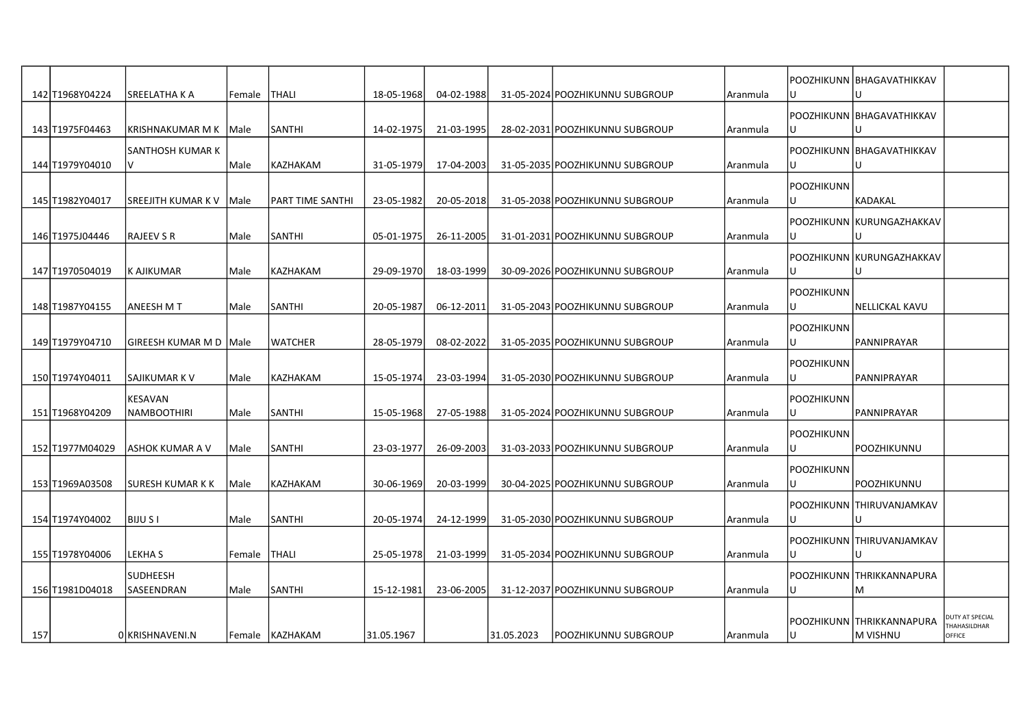|     | 142 T1968Y04224  | <b>SREELATHAKA</b>       |        | <b>THALI</b>      | 18-05-1968 | 04-02-1988 |            | 31-05-2024 POOZHIKUNNU SUBGROUP |          |                    | POOZHIKUNN  BHAGAVATHIKKAV  |                        |
|-----|------------------|--------------------------|--------|-------------------|------------|------------|------------|---------------------------------|----------|--------------------|-----------------------------|------------------------|
|     |                  |                          | Female |                   |            |            |            |                                 | Aranmula |                    |                             |                        |
|     |                  |                          |        |                   |            |            |            |                                 |          |                    | POOZHIKUNN  BHAGAVATHIKKAV  |                        |
|     | 143 T1975 F04463 | KRISHNAKUMAR M K         | Male   | SANTHI            | 14-02-1975 | 21-03-1995 |            | 28-02-2031 POOZHIKUNNU SUBGROUP | Aranmula | IU                 |                             |                        |
|     |                  | <b>SANTHOSH KUMAR K</b>  |        |                   |            |            |            |                                 |          |                    | POOZHIKUNN  BHAGAVATHIKKAV  |                        |
|     | 144 T1979Y04010  | IV                       | Male   | KAZHAKAM          | 31-05-1979 | 17-04-2003 |            | 31-05-2035 POOZHIKUNNU SUBGROUP | Aranmula |                    |                             |                        |
|     |                  |                          |        |                   |            |            |            |                                 |          | POOZHIKUNN         |                             |                        |
|     | 145 T1982Y04017  | SREEJITH KUMAR K V IMale |        | IPART TIME SANTHI | 23-05-1982 | 20-05-2018 |            | 31-05-2038 POOZHIKUNNU SUBGROUP | Aranmula | IU                 | KADAKAL                     |                        |
|     |                  |                          |        |                   |            |            |            |                                 |          |                    |                             |                        |
|     |                  |                          |        |                   |            |            |            |                                 |          |                    | POOZHIKUNN KURUNGAZHAKKAV   |                        |
|     | 146 T1975 J04446 | <b>RAJEEV S R</b>        | Male   | SANTHI            | 05-01-1975 | 26-11-2005 |            | 31-01-2031 POOZHIKUNNU SUBGROUP | Aranmula | IU                 | U                           |                        |
|     |                  |                          |        |                   |            |            |            |                                 |          |                    | POOZHIKUNN  KURUNGAZHAKKAV  |                        |
|     | 147 T1970504019  | <b>K AJIKUMAR</b>        | Male   | KAZHAKAM          | 29-09-1970 | 18-03-1999 |            | 30-09-2026 POOZHIKUNNU SUBGROUP | Aranmula | IU                 | U                           |                        |
|     |                  |                          |        |                   |            |            |            |                                 |          | Ipoozhikunn        |                             |                        |
|     | 148 T1987Y04155  | <b>ANEESH M T</b>        | Male   | <b>SANTHI</b>     | 20-05-1987 | 06-12-2011 |            | 31-05-2043 POOZHIKUNNU SUBGROUP | Aranmula |                    | <b>NELLICKAL KAVU</b>       |                        |
|     |                  |                          |        |                   |            |            |            |                                 |          |                    |                             |                        |
|     |                  |                          |        |                   |            |            |            |                                 |          | POOZHIKUNN         |                             |                        |
|     | 149 T1979 Y04710 | GIREESH KUMAR M D   Male |        | <b>WATCHER</b>    | 28-05-1979 | 08-02-2022 |            | 31-05-2035 POOZHIKUNNU SUBGROUP | Aranmula |                    | PANNIPRAYAR                 |                        |
|     |                  |                          |        |                   |            |            |            |                                 |          | POOZHIKUNN         |                             |                        |
|     | 150 T1974 Y04011 | ISAJIKUMAR K V           | Male   | <b>KAZHAKAM</b>   | 15-05-1974 | 23-03-1994 |            | 31-05-2030 POOZHIKUNNU SUBGROUP | Aranmula | IU                 | IPANNIPRAYAR                |                        |
|     |                  | KESAVAN                  |        |                   |            |            |            |                                 |          | POOZHIKUNN         |                             |                        |
|     | 151 T1968Y04209  | <b>NAMBOOTHIRI</b>       | Male   | <b>SANTHI</b>     | 15-05-1968 | 27-05-1988 |            | 31-05-2024 POOZHIKUNNU SUBGROUP | Aranmula | ΙU                 | IPANNIPRAYAR                |                        |
|     |                  |                          |        |                   |            |            |            |                                 |          |                    |                             |                        |
|     |                  |                          |        |                   |            |            |            |                                 |          | POOZHIKUNN         |                             |                        |
|     | 152 T1977M04029  | <b>ASHOK KUMAR A V</b>   | Male   | SANTHI            | 23-03-1977 | 26-09-2003 |            | 31-03-2033 POOZHIKUNNU SUBGROUP | Aranmula | lU                 | POOZHIKUNNU                 |                        |
|     |                  |                          |        |                   |            |            |            |                                 |          | <b>IPOOZHIKUNN</b> |                             |                        |
|     | 153 T1969A03508  | <b>SURESH KUMAR K K</b>  | Male   | KAZHAKAM          | 30-06-1969 | 20-03-1999 |            | 30-04-2025 POOZHIKUNNU SUBGROUP | Aranmula |                    | POOZHIKUNNU                 |                        |
|     |                  |                          |        |                   |            |            |            |                                 |          |                    | POOZHIKUNN  THIRUVANJAMKAV  |                        |
|     | 154 T1974Y04002  | <b>BIJU S I</b>          | Male   | <b>SANTHI</b>     | 20-05-1974 | 24-12-1999 |            | 31-05-2030 POOZHIKUNNU SUBGROUP | Aranmula |                    | U                           |                        |
|     |                  |                          |        |                   |            |            |            |                                 |          |                    | POOZHIKUNN THIRUVANJAMKAV   |                        |
|     | 155 T1978 Y04006 | <b>LEKHAS</b>            | Female | <b>THALI</b>      | 25-05-1978 | 21-03-1999 |            | 31-05-2034 POOZHIKUNNU SUBGROUP | Aranmula |                    |                             |                        |
|     |                  |                          |        |                   |            |            |            |                                 |          |                    |                             |                        |
|     |                  | <b>SUDHEESH</b>          |        |                   |            |            |            |                                 |          |                    | POOZHIKUNN THRIKKANNAPURA   |                        |
|     | 156 T1981 D04018 | SASEENDRAN               | Male   | <b>SANTHI</b>     | 15-12-1981 | 23-06-2005 |            | 31-12-2037 POOZHIKUNNU SUBGROUP | Aranmula | IU                 | M                           |                        |
|     |                  |                          |        |                   |            |            |            |                                 |          |                    |                             | <b>DUTY AT SPECIAL</b> |
|     |                  |                          |        |                   |            |            |            |                                 |          |                    | POOZHIKUNN   THRIKKANNAPURA | THAHASILDHAR           |
| 157 |                  | OIKRISHNAVENI.N          |        | Female KAZHAKAM   | 31.05.1967 |            | 31.05.2023 | POOZHIKUNNU SUBGROUP            | Aranmula | ΙU                 | M VISHNU                    | OFFICE                 |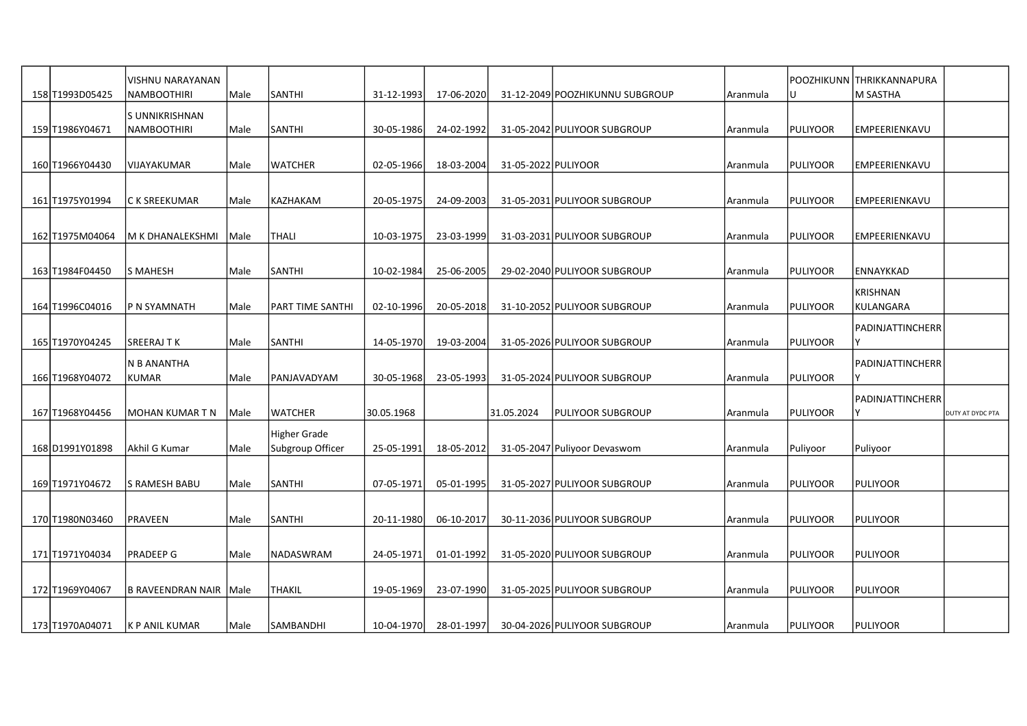| 158 T1993D05425 | VISHNU NARAYANAN<br><b>NAMBOOTHIRI</b> | Male | SANTHI                                  | 31-12-1993 | 17-06-2020 |                     | 31-12-2049 POOZHIKUNNU SUBGROUP | Aranmula |                 | POOZHIKUNN THRIKKANNAPURA<br>lM SASTHA |                  |
|-----------------|----------------------------------------|------|-----------------------------------------|------------|------------|---------------------|---------------------------------|----------|-----------------|----------------------------------------|------------------|
|                 | S UNNIKRISHNAN                         |      |                                         |            |            |                     |                                 |          |                 |                                        |                  |
| 159 T1986Y04671 | <b>NAMBOOTHIRI</b>                     | Male | SANTHI                                  | 30-05-1986 | 24-02-1992 |                     | 31-05-2042 PULIYOOR SUBGROUP    | Aranmula | PULIYOOR        | <b>EMPEERIENKAVU</b>                   |                  |
| 160 T1966Y04430 | VIJAYAKUMAR                            | Male | WATCHER                                 | 02-05-1966 | 18-03-2004 | 31-05-2022 PULIYOOR |                                 | Aranmula | PULIYOOR        | <b>EMPEERIENKAVU</b>                   |                  |
| 161 T1975Y01994 | C K SREEKUMAR                          | Male | KAZHAKAM                                | 20-05-1975 | 24-09-2003 |                     | 31-05-2031 PULIYOOR SUBGROUP    | Aranmula | PULIYOOR        | <b>EMPEERIENKAVU</b>                   |                  |
| 162 T1975M04064 | M K DHANALEKSHMI                       | Male | THALI                                   | 10-03-1975 | 23-03-1999 |                     | 31-03-2031 PULIYOOR SUBGROUP    | Aranmula | PULIYOOR        | EMPEERIENKAVU                          |                  |
|                 |                                        |      |                                         |            |            |                     |                                 |          |                 |                                        |                  |
| 163 T1984F04450 | S MAHESH                               | Male | <b>SANTHI</b>                           | 10-02-1984 | 25-06-2005 |                     | 29-02-2040 PULIYOOR SUBGROUP    | Aranmula | PULIYOOR        | <b>ENNAYKKAD</b>                       |                  |
| 164 T1996C04016 | lP N SYAMNATH                          | Male | PART TIME SANTHI                        | 02-10-1996 | 20-05-2018 |                     | 31-10-2052 PULIYOOR SUBGROUP    | Aranmula | <b>PULIYOOR</b> | <b>KRISHNAN</b><br>KULANGARA           |                  |
|                 |                                        |      |                                         |            |            |                     |                                 |          |                 | <b>PADINJATTINCHERR</b>                |                  |
| 165 T1970Y04245 | SREERAJTK                              | Male | <b>SANTHI</b>                           | 14-05-1970 | 19-03-2004 |                     | 31-05-2026 PULIYOOR SUBGROUP    | Aranmula | PULIYOOR        | Υ                                      |                  |
| 166 T1968Y04072 | N B ANANTHA<br><b>KUMAR</b>            | Male | PANJAVADYAM                             | 30-05-1968 | 23-05-1993 |                     | 31-05-2024 PULIYOOR SUBGROUP    | Aranmula | PULIYOOR        | PADINJATTINCHERR                       |                  |
|                 |                                        |      |                                         |            |            |                     |                                 |          |                 | <b>PADINJATTINCHERR</b>                |                  |
| 167 T1968Y04456 | IMOHAN KUMAR T N                       | Male | <b>WATCHER</b>                          | 30.05.1968 |            | 31.05.2024          | PULIYOOR SUBGROUP               | Aranmula | PULIYOOR        |                                        | DUTY AT DYDC PTA |
| 168 D1991Y01898 | Akhil G Kumar                          | Male | <b>Higher Grade</b><br>Subgroup Officer | 25-05-1991 | 18-05-2012 |                     | 31-05-2047 Puliyoor Devaswom    | Aranmula | Puliyoor        | Puliyoor                               |                  |
| 169 T1971Y04672 | lS RAMESH BABU                         | Male | SANTHI                                  | 07-05-1971 | 05-01-1995 |                     | 31-05-2027 PULIYOOR SUBGROUP    | Aranmula | PULIYOOR        | <b>PULIYOOR</b>                        |                  |
|                 |                                        |      |                                         |            |            |                     |                                 |          |                 |                                        |                  |
| 170 T1980N03460 | PRAVEEN                                | Male | SANTHI                                  | 20-11-1980 | 06-10-2017 |                     | 30-11-2036 PULIYOOR SUBGROUP    | Aranmula | <b>PULIYOOR</b> | PULIYOOR                               |                  |
| 171 T1971Y04034 | PRADEEP G                              | Male | NADASWRAM                               | 24-05-1971 | 01-01-1992 |                     | 31-05-2020 PULIYOOR SUBGROUP    | Aranmula | PULIYOOR        | PULIYOOR                               |                  |
| 172 T1969Y04067 | B RAVEENDRAN NAIR Male                 |      | THAKIL                                  | 19-05-1969 | 23-07-1990 |                     | 31-05-2025 PULIYOOR SUBGROUP    | Aranmula | PULIYOOR        | <b>PULIYOOR</b>                        |                  |
| 173 T1970A04071 | K P ANIL KUMAR                         | Male | SAMBANDHI                               | 10-04-1970 | 28-01-1997 |                     | 30-04-2026 PULIYOOR SUBGROUP    | Aranmula | PULIYOOR        | PULIYOOR                               |                  |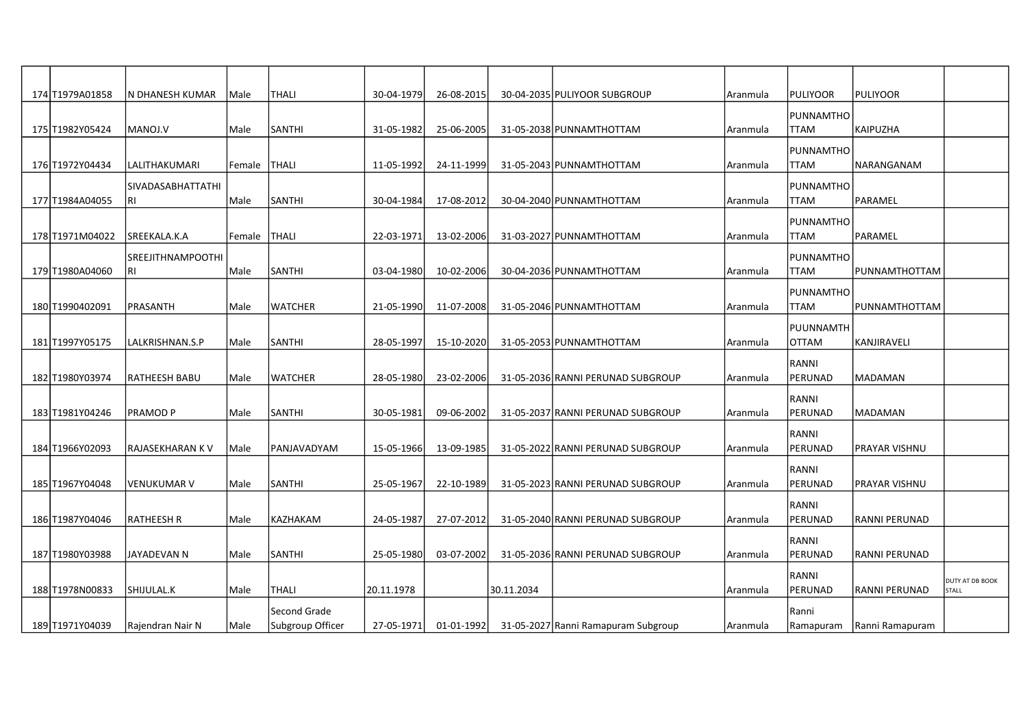| 174 T1979A01858 | IN DHANESH KUMAR                 | Male   | <b>THALI</b>     | 30-04-1979 | 26-08-2015 |            | 30-04-2035 PULIYOOR SUBGROUP        | Aranmula | PULIYOOR                 | PULIYOOR        |                                 |
|-----------------|----------------------------------|--------|------------------|------------|------------|------------|-------------------------------------|----------|--------------------------|-----------------|---------------------------------|
|                 |                                  |        |                  |            |            |            |                                     |          | PUNNAMTHO                |                 |                                 |
| 175 T1982Y05424 | MANOJ.V                          | Male   | <b>SANTHI</b>    | 31-05-1982 | 25-06-2005 |            | 31-05-2038 PUNNAMTHOTTAM            | Aranmula | <b>TTAM</b>              | KAIPUZHA        |                                 |
|                 |                                  |        |                  |            |            |            |                                     |          | PUNNAMTHO                |                 |                                 |
| 176 T1972Y04434 | LALITHAKUMARI                    | Female | THALI            | 11-05-1992 | 24-11-1999 |            | 31-05-2043 PUNNAMTHOTTAM            | Aranmula | <b>TTAM</b>              | NARANGANAM      |                                 |
|                 | <b>SIVADASABHATTATHI</b>         |        |                  |            |            |            |                                     |          | PUNNAMTHO                |                 |                                 |
| 177 T1984A04055 | l RI                             | Male   | SANTHI           | 30-04-1984 | 17-08-2012 |            | 30-04-2040 PUNNAMTHOTTAM            | Aranmula | <b>TTAM</b>              | PARAMEL         |                                 |
|                 |                                  |        |                  |            |            |            |                                     |          | PUNNAMTHO                |                 |                                 |
| 178 T1971M04022 | SREEKALA.K.A                     | Female | <b>THALI</b>     | 22-03-1971 | 13-02-2006 |            | 31-03-2027 PUNNAMTHOTTAM            | Aranmula | <b>TTAM</b>              | PARAMEL         |                                 |
|                 |                                  |        |                  |            |            |            |                                     |          |                          |                 |                                 |
| 179 T1980A04060 | <b>SREEJITHNAMPOOTHI</b><br>l RI | Male   | SANTHI           | 03-04-1980 | 10-02-2006 |            | 30-04-2036 PUNNAMTHOTTAM            | Aranmula | PUNNAMTHO<br><b>TTAM</b> | PUNNAMTHOTTAM   |                                 |
|                 |                                  |        |                  |            |            |            |                                     |          |                          |                 |                                 |
| 180 T1990402091 | PRASANTH                         | Male   | <b>WATCHER</b>   | 21-05-1990 | 11-07-2008 |            | 31-05-2046 PUNNAMTHOTTAM            | Aranmula | PUNNAMTHO<br><b>TTAM</b> | PUNNAMTHOTTAM   |                                 |
|                 |                                  |        |                  |            |            |            |                                     |          |                          |                 |                                 |
|                 |                                  |        | <b>SANTHI</b>    |            |            |            |                                     |          | PUUNNAMTH                |                 |                                 |
| 181 T1997Y05175 | LALKRISHNAN.S.P                  | Male   |                  | 28-05-1997 | 15-10-2020 |            | 31-05-2053 PUNNAMTHOTTAM            | Aranmula | <b>OTTAM</b>             | KANJIRAVELI     |                                 |
|                 |                                  |        |                  |            |            |            |                                     |          | RANNI                    |                 |                                 |
| 182 T1980Y03974 | RATHEESH BABU                    | Male   | <b>WATCHER</b>   | 28-05-1980 | 23-02-2006 |            | 31-05-2036 RANNI PERUNAD SUBGROUP   | Aranmula | PERUNAD                  | <b>MADAMAN</b>  |                                 |
|                 |                                  |        |                  |            |            |            |                                     |          | RANNI                    |                 |                                 |
| 183 T1981Y04246 | IPRAMOD P                        | Male   | <b>SANTHI</b>    | 30-05-1981 | 09-06-2002 |            | 31-05-2037 RANNI PERUNAD SUBGROUP   | Aranmula | PERUNAD                  | IMADAMAN        |                                 |
|                 |                                  |        |                  |            |            |            |                                     |          | RANNI                    |                 |                                 |
| 184 T1966Y02093 | RAJASEKHARAN K V                 | Male   | PANJAVADYAM      | 15-05-1966 | 13-09-1985 |            | 31-05-2022 RANNI PERUNAD SUBGROUP   | Aranmula | PERUNAD                  | PRAYAR VISHNU   |                                 |
|                 |                                  |        |                  |            |            |            |                                     |          | RANNI                    |                 |                                 |
| 185 T1967Y04048 | VENUKUMAR V                      | Male   | <b>SANTHI</b>    | 25-05-1967 | 22-10-1989 |            | 31-05-2023 RANNI PERUNAD SUBGROUP   | Aranmula | PERUNAD                  | PRAYAR VISHNU   |                                 |
|                 |                                  |        |                  |            |            |            |                                     |          | RANNI                    |                 |                                 |
| 186 T1987Y04046 | <b>RATHEESH R</b>                | Male   | KAZHAKAM         | 24-05-1987 | 27-07-2012 |            | 31-05-2040 RANNI PERUNAD SUBGROUP   | Aranmula | PERUNAD                  | RANNI PERUNAD   |                                 |
|                 |                                  |        |                  |            |            |            |                                     |          | RANNI                    |                 |                                 |
| 187 T1980Y03988 | JAYADEVAN N                      | Male   | SANTHI           | 25-05-1980 | 03-07-2002 |            | 31-05-2036 RANNI PERUNAD SUBGROUP   | Aranmula | PERUNAD                  | RANNI PERUNAD   |                                 |
|                 |                                  |        |                  |            |            |            |                                     |          | RANNI                    |                 |                                 |
| 188 T1978N00833 | lshijulal.k                      | Male   | <b>THALI</b>     | 20.11.1978 |            | 30.11.2034 |                                     | Aranmula | PERUNAD                  | RANNI PERUNAD   | DUTY AT DB BOOK<br><b>STALL</b> |
|                 |                                  |        | Second Grade     |            |            |            |                                     |          | Ranni                    |                 |                                 |
| 189 T1971Y04039 | Rajendran Nair N                 | Male   | Subgroup Officer | 27-05-1971 | 01-01-1992 |            | 31-05-2027 Ranni Ramapuram Subgroup | Aranmula | Ramapuram                | Ranni Ramapuram |                                 |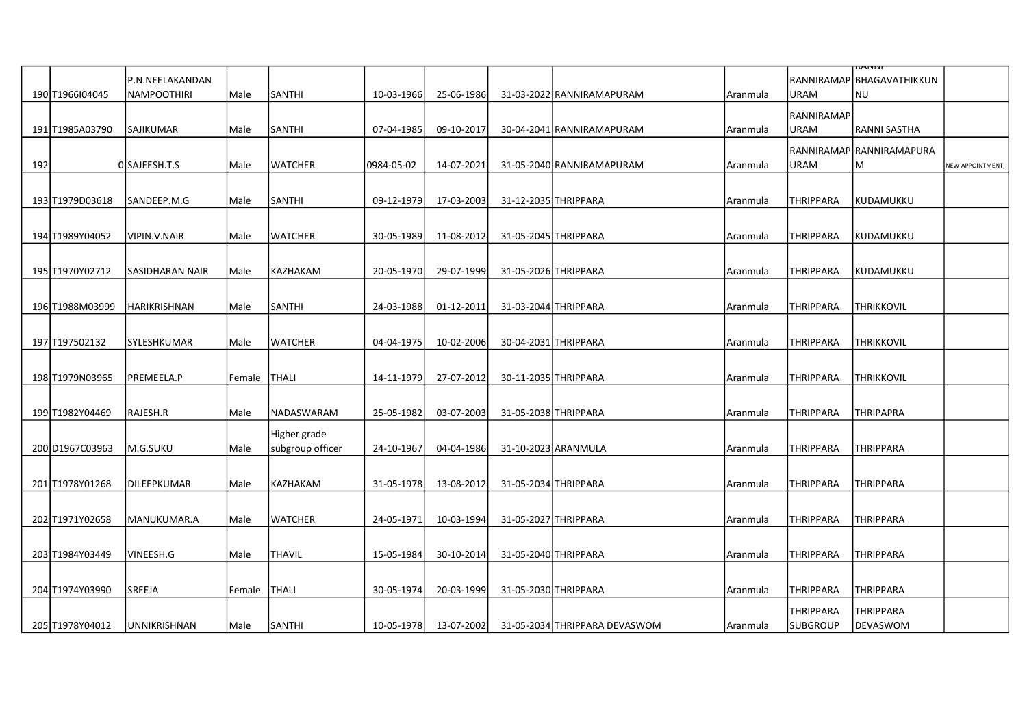|     |                 |                      |                |                  |            |                  |                      |                                                     |          |                  | तत्पागग                   |                  |
|-----|-----------------|----------------------|----------------|------------------|------------|------------------|----------------------|-----------------------------------------------------|----------|------------------|---------------------------|------------------|
|     |                 | P.N.NEELAKANDAN      |                |                  |            |                  |                      |                                                     |          |                  | RANNIRAMAP BHAGAVATHIKKUN |                  |
|     | 190 T1966104045 | NAMPOOTHIRI          | Male           | SANTHI           | 10-03-1966 | 25-06-1986       |                      | 31-03-2022 RANNIRAMAPURAM                           | Aranmula | <b>URAM</b>      | NU                        |                  |
|     |                 |                      |                |                  |            |                  |                      |                                                     |          | RANNIRAMAP       |                           |                  |
|     | 191 T1985A03790 | <b>SAJIKUMAR</b>     | Male           | <b>SANTHI</b>    | 07-04-1985 | 09-10-2017       |                      | 30-04-2041 RANNIRAMAPURAM                           | Aranmula | <b>URAM</b>      | RANNI SASTHA              |                  |
|     |                 |                      |                |                  |            |                  |                      |                                                     |          |                  | RANNIRAMAP RANNIRAMAPURA  |                  |
| 192 |                 | OSAJEESH.T.S         | Male           | WATCHER          | 0984-05-02 | 14-07-2021       |                      | 31-05-2040 RANNIRAMAPURAM                           | Aranmula | URAM             | lM.                       | NEW APPOINTMENT, |
|     |                 |                      |                |                  |            |                  |                      |                                                     |          |                  |                           |                  |
|     | 193 T1979D03618 | SANDEEP.M.G          | Male           | SANTHI           | 09-12-1979 | 17-03-2003       | 31-12-2035 THRIPPARA |                                                     | Aranmula | <b>THRIPPARA</b> | KUDAMUKKU                 |                  |
|     |                 |                      |                |                  |            |                  |                      |                                                     |          |                  |                           |                  |
|     | 194 T1989Y04052 | VIPIN.V.NAIR         | Male           | <b>WATCHER</b>   | 30-05-1989 | 11-08-2012       | 31-05-2045 THRIPPARA |                                                     | Aranmula | <b>THRIPPARA</b> | KUDAMUKKU                 |                  |
|     |                 |                      |                |                  |            |                  |                      |                                                     |          |                  |                           |                  |
|     | 195 T1970Y02712 | SASIDHARAN NAIR      | Male           | KAZHAKAM         | 20-05-1970 | 29-07-1999       | 31-05-2026 THRIPPARA |                                                     | Aranmula | <b>THRIPPARA</b> | KUDAMUKKU                 |                  |
|     |                 |                      |                |                  |            |                  |                      |                                                     |          |                  |                           |                  |
|     | 196 T1988M03999 | HARIKRISHNAN         | Male           | SANTHI           | 24-03-1988 | $01 - 12 - 2011$ | 31-03-2044 THRIPPARA |                                                     | Aranmula | THRIPPARA        | THRIKKOVIL                |                  |
|     |                 |                      |                |                  |            |                  |                      |                                                     |          |                  |                           |                  |
|     | 197 T197502132  | SYLESHKUMAR          | Male           | <b>WATCHER</b>   | 04-04-1975 | 10-02-2006       | 30-04-2031 THRIPPARA |                                                     | Aranmula | <b>THRIPPARA</b> | <b>THRIKKOVIL</b>         |                  |
|     |                 |                      |                |                  |            |                  |                      |                                                     |          |                  |                           |                  |
|     | 198 T1979N03965 | PREMEELA.P           | Female   THALI |                  | 14-11-1979 | 27-07-2012       | 30-11-2035 THRIPPARA |                                                     | Aranmula | <b>THRIPPARA</b> | <b>THRIKKOVIL</b>         |                  |
|     |                 |                      |                |                  |            |                  |                      |                                                     |          |                  |                           |                  |
|     | 199 T1982Y04469 | RAJESH.R             | Male           | NADASWARAM       | 25-05-1982 | 03-07-2003       | 31-05-2038 THRIPPARA |                                                     | Aranmula | <b>THRIPPARA</b> | <b>THRIPAPRA</b>          |                  |
|     |                 |                      |                | Higher grade     |            |                  |                      |                                                     |          |                  |                           |                  |
|     | 200 D1967C03963 | M.G.SUKU             | Male           | subgroup officer | 24-10-1967 | 04-04-1986       | 31-10-2023 ARANMULA  |                                                     | Aranmula | <b>THRIPPARA</b> | <b>THRIPPARA</b>          |                  |
|     |                 |                      |                |                  |            |                  |                      |                                                     |          |                  |                           |                  |
|     | 201 T1978Y01268 | DILEEPKUMAR          | Male           | KAZHAKAM         | 31-05-1978 | 13-08-2012       | 31-05-2034 THRIPPARA |                                                     | Aranmula | THRIPPARA        | <b>THRIPPARA</b>          |                  |
|     |                 |                      |                |                  |            |                  |                      |                                                     |          |                  |                           |                  |
|     | 202 T1971Y02658 | MANUKUMAR.A          | Male           | <b>WATCHER</b>   | 24-05-1971 | 10-03-1994       | 31-05-2027 THRIPPARA |                                                     | Aranmula | <b>THRIPPARA</b> | <b>THRIPPARA</b>          |                  |
|     |                 |                      |                |                  |            |                  |                      |                                                     |          |                  |                           |                  |
|     | 203 T1984Y03449 | VINEESH.G            | Male           | <b>THAVIL</b>    | 15-05-1984 | 30-10-2014       | 31-05-2040 THRIPPARA |                                                     | Aranmula | <b>THRIPPARA</b> | <b>THRIPPARA</b>          |                  |
|     |                 |                      |                |                  |            |                  |                      |                                                     |          |                  |                           |                  |
|     | 204 T1974Y03990 | lsreeja              | Female         | <b>THALI</b>     | 30-05-1974 | 20-03-1999       | 31-05-2030 THRIPPARA |                                                     | Aranmula | THRIPPARA        | <b>THRIPPARA</b>          |                  |
|     |                 |                      |                |                  |            |                  |                      |                                                     |          | <b>THRIPPARA</b> | <b>THRIPPARA</b>          |                  |
|     | 205 T1978Y04012 | <b>JUNNIKRISHNAN</b> | Male           | SANTHI           |            |                  |                      | 10-05-1978 13-07-2002 31-05-2034 THRIPPARA DEVASWOM | Aranmula | SUBGROUP         | DEVASWOM                  |                  |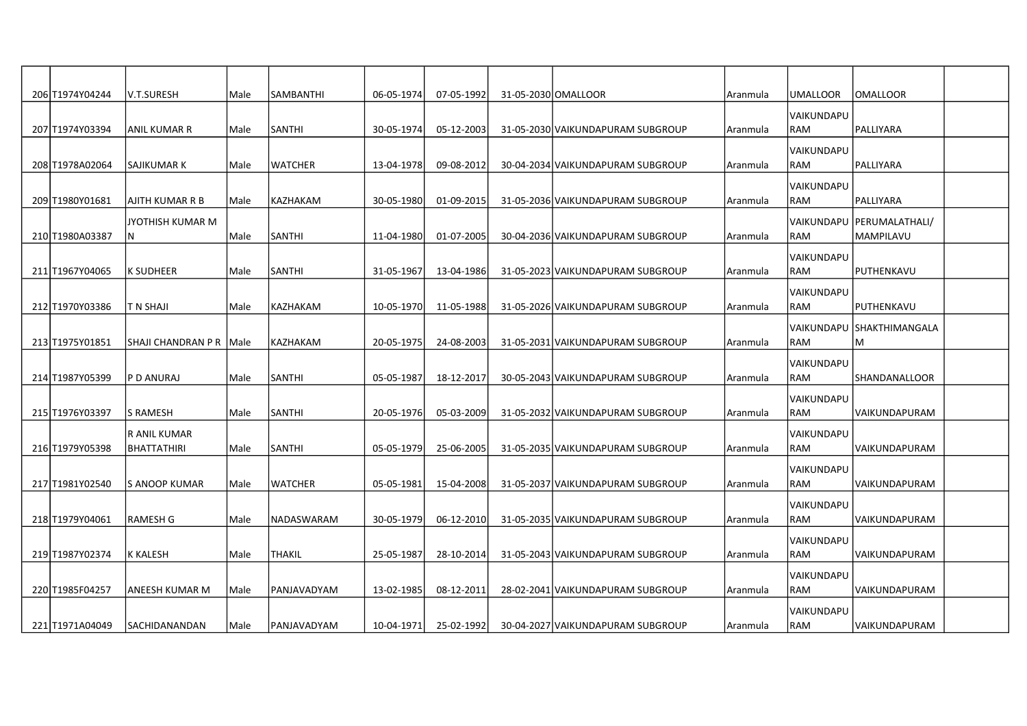| 206 T1974Y04244  | V.T.SURESH                | Male   | SAMBANTHI     | 06-05-1974 | 07-05-1992 | 31-05-2030 OMALLOOR |                                   | Aranmula | UMALLOOR          | <b>OMALLOOR</b>             |  |
|------------------|---------------------------|--------|---------------|------------|------------|---------------------|-----------------------------------|----------|-------------------|-----------------------------|--|
|                  |                           |        |               |            |            |                     |                                   |          | VAIKUNDAPU        |                             |  |
| 207 T1974Y03394  | <b>ANIL KUMAR R</b>       | Male   | SANTHI        | 30-05-1974 | 05-12-2003 |                     | 31-05-2030 VAIKUNDAPURAM SUBGROUP | Aranmula | RAM               | PALLIYARA                   |  |
|                  |                           |        |               |            |            |                     |                                   |          | <b>VAIKUNDAPU</b> |                             |  |
| 208 T1978A02064  | <b>SAJIKUMAR K</b>        | Male   | WATCHER       | 13-04-1978 | 09-08-2012 |                     | 30-04-2034 VAIKUNDAPURAM SUBGROUP | Aranmula | RAM               | PALLIYARA                   |  |
|                  |                           |        |               |            |            |                     |                                   |          | VAIKUNDAPU        |                             |  |
| 209 T1980Y01681  | AJITH KUMAR R B           | l Male | KAZHAKAM      | 30-05-1980 | 01-09-2015 |                     | 31-05-2036 VAIKUNDAPURAM SUBGROUP | Aranmula | <b>RAM</b>        | PALLIYARA                   |  |
|                  | JYOTHISH KUMAR M          |        |               |            |            |                     |                                   |          |                   | VAIKUNDAPU   PERUMALATHALI/ |  |
| 210 T1980A03387  | N                         | Male   | SANTHI        | 11-04-1980 | 01-07-2005 |                     | 30-04-2036 VAIKUNDAPURAM SUBGROUP | Aranmula | RAM               | MAMPILAVU                   |  |
|                  |                           |        |               |            |            |                     |                                   |          | VAIKUNDAPU        |                             |  |
| 211 T1967Y04065  | <b>K SUDHEER</b>          | Male   | SANTHI        | 31-05-1967 | 13-04-1986 |                     | 31-05-2023 VAIKUNDAPURAM SUBGROUP | Aranmula | RAM               | PUTHENKAVU                  |  |
|                  |                           |        |               |            |            |                     |                                   |          | VAIKUNDAPU        |                             |  |
| 212 T1970Y03386  | T N SHAJI                 | Male   | KAZHAKAM      | 10-05-1970 | 11-05-1988 |                     | 31-05-2026 VAIKUNDAPURAM SUBGROUP | Aranmula | <b>RAM</b>        | PUTHENKAVU                  |  |
|                  |                           |        |               |            |            |                     |                                   |          |                   | VAIKUNDAPU SHAKTHIMANGALA   |  |
| 213 T1975 Y01851 | SHAJI CHANDRAN P R   Male |        | KAZHAKAM      | 20-05-1975 | 24-08-2003 |                     | 31-05-2031 VAIKUNDAPURAM SUBGROUP | Aranmula | RAM               | M                           |  |
|                  |                           |        |               |            |            |                     |                                   |          | <b>VAIKUNDAPU</b> |                             |  |
| 214 T1987Y05399  | P D ANURAJ                | Male   | <b>SANTHI</b> | 05-05-1987 | 18-12-2017 |                     | 30-05-2043 VAIKUNDAPURAM SUBGROUP | Aranmula | RAM               | <b>SHANDANALLOOR</b>        |  |
|                  |                           |        |               |            |            |                     |                                   |          | VAIKUNDAPU        |                             |  |
| 215 T1976Y03397  | <b>S RAMESH</b>           | Male   | SANTHI        | 20-05-1976 | 05-03-2009 |                     | 31-05-2032 VAIKUNDAPURAM SUBGROUP | Aranmula | RAM               | VAIKUNDAPURAM               |  |
|                  | <b>RANIL KUMAR</b>        |        |               |            |            |                     |                                   |          | VAIKUNDAPU        |                             |  |
| 216 T1979 Y05398 | <b>BHATTATHIRI</b>        | Male   | <b>SANTHI</b> | 05-05-1979 | 25-06-2005 |                     | 31-05-2035 VAIKUNDAPURAM SUBGROUP | Aranmula | RAM               | <b>VAIKUNDAPURAM</b>        |  |
|                  |                           |        |               |            |            |                     |                                   |          | VAIKUNDAPU        |                             |  |
| 217 T1981Y02540  | S ANOOP KUMAR             | Male   | WATCHER       | 05-05-1981 | 15-04-2008 |                     | 31-05-2037 VAIKUNDAPURAM SUBGROUP | Aranmula | RAM               | VAIKUNDAPURAM               |  |
|                  |                           |        |               |            |            |                     |                                   |          | VAIKUNDAPU        |                             |  |
| 218 T1979Y04061  | <b>RAMESH G</b>           | Male   | NADASWARAM    | 30-05-1979 | 06-12-2010 |                     | 31-05-2035 VAIKUNDAPURAM SUBGROUP | Aranmula | RAM               | lVAIKUNDAPURAM              |  |
|                  |                           |        |               |            |            |                     |                                   |          | VAIKUNDAPU        |                             |  |
| 219 T1987Y02374  | <b>K KALESH</b>           | Male   | THAKIL        | 25-05-1987 | 28-10-2014 |                     | 31-05-2043 VAIKUNDAPURAM SUBGROUP | Aranmula | RAM               | VAIKUNDAPURAM               |  |
|                  |                           |        |               |            |            |                     |                                   |          | VAIKUNDAPU        |                             |  |
| 220 T1985F04257  | ANEESH KUMAR M            | Male   | PANJAVADYAM   | 13-02-1985 | 08-12-2011 |                     | 28-02-2041 VAIKUNDAPURAM SUBGROUP | Aranmula | <b>RAM</b>        | VAIKUNDAPURAM               |  |
|                  |                           |        |               |            |            |                     |                                   |          | VAIKUNDAPU        |                             |  |
| 221 T1971A04049  | SACHIDANANDAN             | Male   | PANJAVADYAM   | 10-04-1971 | 25-02-1992 |                     | 30-04-2027 VAIKUNDAPURAM SUBGROUP | Aranmula | RAM               | VAIKUNDAPURAM               |  |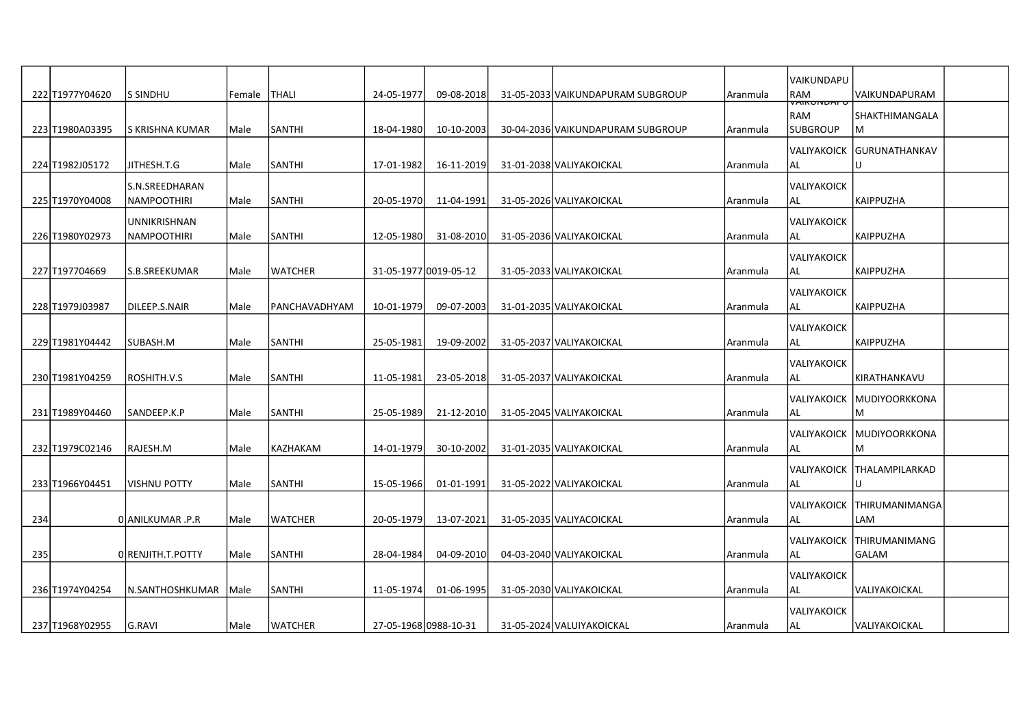|     | 222 T1977Y04620   | <b>S SINDHU</b>                    | Female       | <b>THALI</b>   | 24-05-1977            | 09-08-2018 | 31-05-2033 VAIKUNDAPURAM SUBGROUP | Aranmula | VAIKUNDAPU<br>RAM                            | VAIKUNDAPURAM                         |  |
|-----|-------------------|------------------------------------|--------------|----------------|-----------------------|------------|-----------------------------------|----------|----------------------------------------------|---------------------------------------|--|
|     | 223 T1980A03395   | S KRISHNA KUMAR                    | Male         | SANTHI         | 18-04-1980            | 10-10-2003 | 30-04-2036 VAIKUNDAPURAM SUBGROUP | Aranmula | <b>VAINUNUAF</b><br>l RAM<br><b>SUBGROUP</b> | SHAKTHIMANGALA<br>M                   |  |
|     | 224 T1982J05172   | JITHESH.T.G                        | Male         | SANTHI         | 17-01-1982            | 16-11-2019 | 31-01-2038 VALIYAKOICKAL          | Aranmula | VALIYAKOICK <br> AL                          | <b>GURUNATHANKAV</b><br>lU            |  |
|     |                   | S.N.SREEDHARAN                     |              |                |                       |            |                                   |          | VALIYAKOICK                                  |                                       |  |
|     | 225 T1970Y04008   | NAMPOOTHIRI<br><b>UNNIKRISHNAN</b> | Male         | <b>SANTHI</b>  | 20-05-1970            | 11-04-1991 | 31-05-2026 VALIYAKOICKAL          | Aranmula | AL<br><b>IVALIYAKOICK</b>                    | KAIPPUZHA                             |  |
|     | 226 T1980Y02973   | <b>NAMPOOTHIRI</b>                 | Male         | <b>SANTHI</b>  | 12-05-1980            | 31-08-2010 | 31-05-2036 VALIYAKOICKAL          | Aranmula | AL<br><b>VALIYAKOICK</b>                     | <b>KAIPPUZHA</b>                      |  |
|     | 227 T197704669    | S.B.SREEKUMAR                      | Male         | lwatcher       | 31-05-1977 0019-05-12 |            | 31-05-2033 VALIYAKOICKAL          | Aranmula | AL<br>VALIYAKOICK                            | KAIPPUZHA                             |  |
|     | 228 T1979J03987   | DILEEP.S.NAIR                      | Male         | PANCHAVADHYAM  | 10-01-1979            | 09-07-2003 | 31-01-2035 VALIYAKOICKAL          | Aranmula | AL<br><b>VALIYAKOICK</b>                     | KAIPPUZHA                             |  |
|     | 229 T1981Y04442   | SUBASH.M                           | Male         | SANTHI         | 25-05-1981            | 19-09-2002 | 31-05-2037 VALIYAKOICKAL          | Aranmula | AL<br> VALIYAKOICK                           | KAIPPUZHA                             |  |
|     | 230 T1981Y04259   | <b>ROSHITH.V.S</b>                 | Male         | SANTHI         | 11-05-1981            | 23-05-2018 | 31-05-2037 VALIYAKOICKAL          | Aranmula | AL<br><b>VALIYAKOICK</b>                     | KIRATHANKAVU<br><b>MUDIYOORKKONA</b>  |  |
|     | 231 T1989 Y04460  | SANDEEP.K.P                        | Male         | lsanthi        | 25-05-1989            | 21-12-2010 | 31-05-2045 VALIYAKOICKAL          | Aranmula | IAL                                          | lМ                                    |  |
|     | 232 T1979C02146   | RAJESH.M                           | Male         | KAZHAKAM       | 14-01-1979            | 30-10-2002 | 31-01-2035 VALIYAKOICKAL          | Aranmula | AL                                           | VALIYAKOICK  MUDIYOORKKONA<br>M       |  |
|     | 233 T1966Y04451   | <b>VISHNU POTTY</b>                | Male         | SANTHI         | 15-05-1966            | 01-01-1991 | 31-05-2022 VALIYAKOICKAL          | Aranmula | AL                                           | VALIYAKOICK  THALAMPILARKAD           |  |
| 234 |                   | 0 ANILKUMAR .P.R                   | Male         | <b>WATCHER</b> | 20-05-1979            | 13-07-2021 | 31-05-2035 VALIYACOICKAL          | Aranmula | <b>VALIYAKOICK</b><br> AL                    | <b>THIRUMANIMANGA</b><br>LAM          |  |
| 235 |                   | O RENJITH.T. POTTY                 | Male         | SANTHI         | 28-04-1984            | 04-09-2010 | 04-03-2040 VALIYAKOICKAL          | Aranmula | IVALIYAKOICK<br> AL                          | <b>ITHIRUMANIMANG</b><br><b>GALAM</b> |  |
|     | 236 T1974 Y04 254 | IN.SANTHOSHKUMAR                   | <b>IMale</b> | <b>SANTHI</b>  | 11-05-1974            | 01-06-1995 | 31-05-2030 VALIYAKOICKAL          | Aranmula | VALIYAKOICK<br> AL                           | IVALIYAKOICKAL                        |  |
|     | 237 T1968Y02955   | <b>G.RAVI</b>                      | Male         | <b>WATCHER</b> | 27-05-1968 0988-10-31 |            | 31-05-2024 VALUIYAKOICKAL         | Aranmula | <b>VALIYAKOICK</b><br> AL                    | VALIYAKOICKAL                         |  |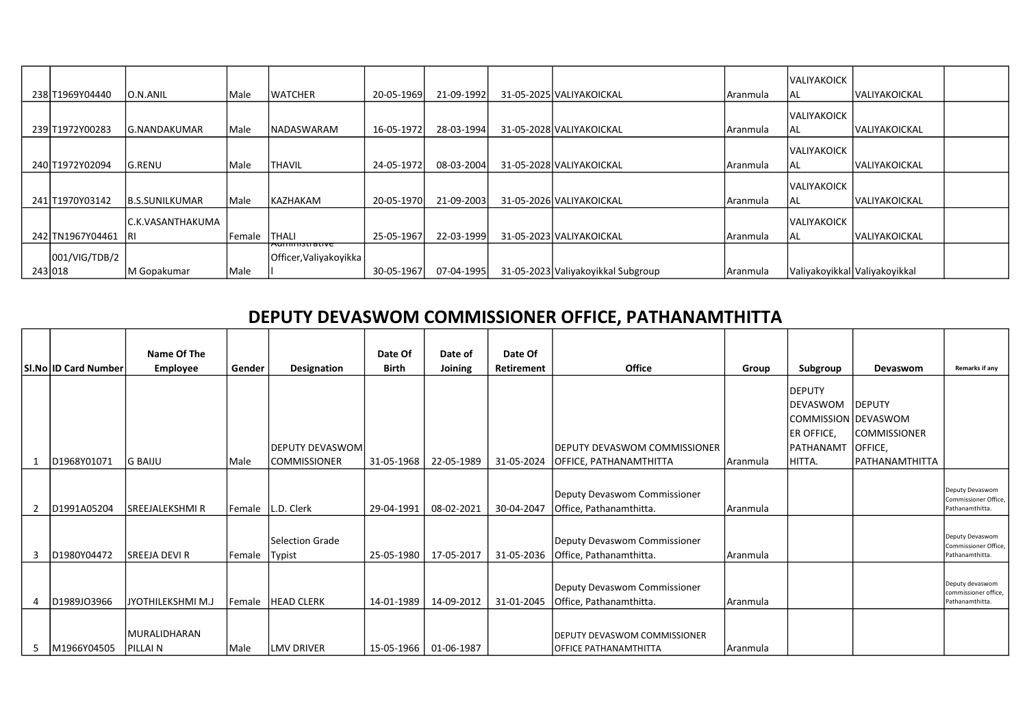|                  |                       |              |                                         |            |            |                                    |          | <b>IVALIYAKOICK</b>           |                       |  |
|------------------|-----------------------|--------------|-----------------------------------------|------------|------------|------------------------------------|----------|-------------------------------|-----------------------|--|
| 238 T1969 Y04440 | O.N.ANIL              | Male         | <b>WATCHER</b>                          | 20-05-1969 | 21-09-1992 | 31-05-2025 VALIYAKOICKAL           | Aranmula | lal                           | <b>IVALIYAKOICKAL</b> |  |
|                  |                       |              |                                         |            |            |                                    |          | <b>VALIYAKOICK</b>            |                       |  |
| 239 T1972Y00283  | lg.nandakumar         | Male         | <b>NADASWARAM</b>                       | 16-05-1972 | 28-03-1994 | 31-05-2028 VALIYAKOICKAL           | Aranmula | lal                           | <b>VALIYAKOICKAL</b>  |  |
|                  |                       |              |                                         |            |            |                                    |          | <b>VALIYAKOICK</b>            |                       |  |
| 240 T1972 Y02094 | lG.RENU               | <i>IMale</i> | <b>THAVIL</b>                           | 24-05-1972 | 08-03-2004 | 31-05-2028 VALIYAKOICKAL           | Aranmula | IAL                           | <b>VALIYAKOICKAL</b>  |  |
|                  |                       |              |                                         |            |            |                                    |          | <b>IVALIYAKOICK</b>           |                       |  |
| 241 T1970 Y03142 | <b>B.S.SUNILKUMAR</b> | Male         | <b>KAZHAKAM</b>                         | 20-05-1970 | 21-09-2003 | 31-05-2026 VALIYAKOICKAL           | Aranmula | AL                            | <b>IVALIYAKOICKAL</b> |  |
|                  | C.K.VASANTHAKUMA      |              |                                         |            |            |                                    |          | <b>VALIYAKOICK</b>            |                       |  |
| 242 TN1967Y04461 | -IRI                  | Female       | <b>THALI</b>                            | 25-05-1967 | 22-03-1999 | 31-05-2023 VALIYAKOICKAL           | Aranmula | IAL                           | <b>VALIYAKOICKAL</b>  |  |
| 001/VIG/TDB/2    |                       |              | 'Aummisu auve<br>Officer, Valiyakoyikka |            |            |                                    |          |                               |                       |  |
| 243 018          | M Gopakumar           | Male         |                                         | 30-05-1967 | 07-04-1995 | 31-05-2023 Valiyakoyikkal Subgroup | Aranmula | Valiyakoyikkal Valiyakoyikkal |                       |  |

## DEPUTY DEVASWOM COMMISSIONER OFFICE, PATHANAMTHITTA

|   |                        | Name Of The        |               |                         | Date Of               | Date of    | Date Of           |                                      |          |                     |                     |                                         |
|---|------------------------|--------------------|---------------|-------------------------|-----------------------|------------|-------------------|--------------------------------------|----------|---------------------|---------------------|-----------------------------------------|
|   | SI.No   ID Card Number | Employee           | Gender        | Designation             | Birth                 | Joining    | <b>Retirement</b> | <b>Office</b>                        | Group    | Subgroup            | Devaswom            | <b>Remarks if any</b>                   |
|   |                        |                    |               |                         |                       |            |                   |                                      |          | DEPUTY              |                     |                                         |
|   |                        |                    |               |                         |                       |            |                   |                                      |          | DEVASWOM            | <b>IDEPUTY</b>      |                                         |
|   |                        |                    |               |                         |                       |            |                   |                                      |          |                     |                     |                                         |
|   |                        |                    |               |                         |                       |            |                   |                                      |          | COMMISSION DEVASWOM |                     |                                         |
|   |                        |                    |               |                         |                       |            |                   |                                      |          | ER OFFICE,          | <b>COMMISSIONER</b> |                                         |
|   |                        |                    |               | <b>IDEPUTY DEVASWOM</b> |                       |            |                   | DEPUTY DEVASWOM COMMISSIONER         |          | PATHANAMT           | OFFICE,             |                                         |
|   | D1968Y01071            | <b>G BAIJU</b>     | Male          | <b>COMMISSIONER</b>     | 31-05-1968            | 22-05-1989 | 31-05-2024        | OFFICE, PATHANAMTHITTA               | Aranmula | HITTA.              | PATHANAMTHITTA      |                                         |
|   |                        |                    |               |                         |                       |            |                   |                                      |          |                     |                     |                                         |
|   |                        |                    |               |                         |                       |            |                   | Deputy Devaswom Commissioner         |          |                     |                     | Deputy Devaswom                         |
|   | D1991A05204            | lsreejalekshmi r   | Female        | L.D. Clerk              | 29-04-1991            | 08-02-2021 | 30-04-2047        | Office, Pathanamthitta.              |          |                     |                     | Commissioner Office,<br>Pathanamthitta. |
|   |                        |                    |               |                         |                       |            |                   |                                      | Aranmula |                     |                     |                                         |
|   |                        |                    |               |                         |                       |            |                   |                                      |          |                     |                     |                                         |
|   |                        |                    |               | lSelection Grade        |                       |            |                   | Deputy Devaswom Commissioner         |          |                     |                     | Deputy Devaswom<br>Commissioner Office, |
|   | D1980Y04472            | lsreeja devi r     | Female        | Typist                  | 25-05-1980            | 17-05-2017 | 31-05-2036        | Office, Pathanamthitta.              | Aranmula |                     |                     | Pathanamthitta.                         |
|   |                        |                    |               |                         |                       |            |                   |                                      |          |                     |                     |                                         |
|   |                        |                    |               |                         |                       |            |                   |                                      |          |                     |                     | Deputy devaswom                         |
|   |                        |                    |               |                         |                       |            |                   | Deputy Devaswom Commissioner         |          |                     |                     | commissioner office,                    |
|   | D1989JO3966            | ljyothilekshmi m.j | <b>Female</b> | <b>HEAD CLERK</b>       | 14-01-1989            | 14-09-2012 | 31-01-2045        | Office, Pathanamthitta.              | Aranmula |                     |                     | Pathanamthitta.                         |
|   |                        |                    |               |                         |                       |            |                   |                                      |          |                     |                     |                                         |
|   |                        | MURALIDHARAN       |               |                         |                       |            |                   | <b>IDEPUTY DEVASWOM COMMISSIONER</b> |          |                     |                     |                                         |
| 5 | M1966Y04505            | PILLAI N           | Male          | <b>LMV DRIVER</b>       | 15-05-1966 01-06-1987 |            |                   | IOFFICE PATHANAMTHITTA               | Aranmula |                     |                     |                                         |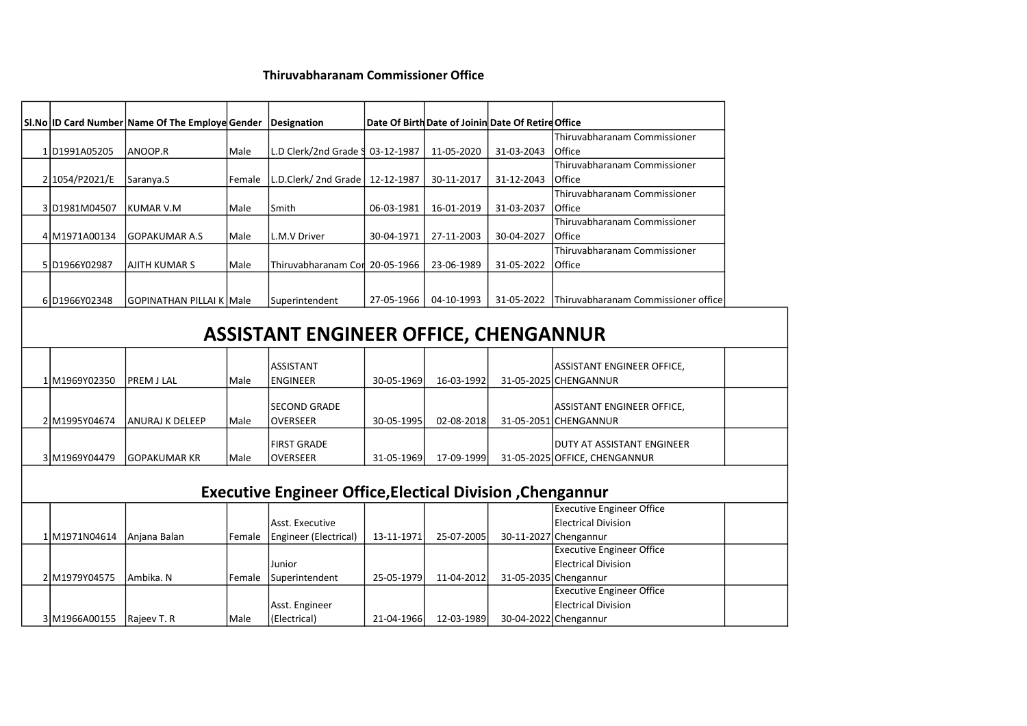## Thiruvabharanam Commissioner Office

|                                              | SI.No ID Card Number Name Of The Employe Gender Designation |        |                                                           |            |            | Date Of Birth Date of Joinin Date Of Retire Office |                                                           |  |  |  |  |
|----------------------------------------------|-------------------------------------------------------------|--------|-----------------------------------------------------------|------------|------------|----------------------------------------------------|-----------------------------------------------------------|--|--|--|--|
|                                              |                                                             |        |                                                           |            |            |                                                    | Thiruvabharanam Commissioner                              |  |  |  |  |
| 1D1991A05205                                 | lanoop.r                                                    | Male   | L.D Clerk/2nd Grade § 03-12-1987                          |            | 11-05-2020 | 31-03-2043                                         | Office                                                    |  |  |  |  |
|                                              |                                                             |        |                                                           |            |            |                                                    | Thiruvabharanam Commissioner                              |  |  |  |  |
| 2 1054/P2021/E                               | Saranya.S                                                   | Female | L.D.Clerk/ 2nd Grade   12-12-1987                         |            | 30-11-2017 | 31-12-2043                                         | Office                                                    |  |  |  |  |
|                                              |                                                             |        |                                                           |            |            |                                                    | Thiruvabharanam Commissioner                              |  |  |  |  |
| 3D1981M04507                                 | <b>KUMAR V.M</b>                                            | Male   | Smith                                                     | 06-03-1981 | 16-01-2019 | 31-03-2037                                         | Office                                                    |  |  |  |  |
|                                              |                                                             |        |                                                           |            |            |                                                    | Thiruvabharanam Commissioner                              |  |  |  |  |
| 4 M1971A00134                                | GOPAKUMAR A.S                                               | Male   | L.M.V Driver                                              | 30-04-1971 | 27-11-2003 | 30-04-2027                                         | Office                                                    |  |  |  |  |
|                                              |                                                             |        |                                                           |            |            |                                                    | Thiruvabharanam Commissioner                              |  |  |  |  |
| 5D1966Y02987                                 | <b>AJITH KUMAR S</b>                                        | Male   | Thiruvabharanam Cor 20-05-1966                            |            | 23-06-1989 | 31-05-2022                                         | Office                                                    |  |  |  |  |
|                                              |                                                             |        |                                                           |            |            |                                                    |                                                           |  |  |  |  |
|                                              |                                                             |        |                                                           |            |            |                                                    |                                                           |  |  |  |  |
| 6D1966Y02348                                 | GOPINATHAN PILLAI K Male                                    |        | Superintendent                                            | 27-05-1966 | 04-10-1993 | 31-05-2022                                         | Thiruvabharanam Commissioner office                       |  |  |  |  |
|                                              |                                                             |        |                                                           |            |            |                                                    |                                                           |  |  |  |  |
| <b>ASSISTANT ENGINEER OFFICE, CHENGANNUR</b> |                                                             |        |                                                           |            |            |                                                    |                                                           |  |  |  |  |
|                                              |                                                             |        |                                                           |            |            |                                                    |                                                           |  |  |  |  |
|                                              |                                                             |        | ASSISTANT                                                 |            |            |                                                    | <b>ASSISTANT ENGINEER OFFICE,</b>                         |  |  |  |  |
| 1 M1969Y02350                                | lPREM J LAL                                                 | Male   | ENGINEER                                                  | 30-05-1969 | 16-03-1992 |                                                    | 31-05-2025 CHENGANNUR                                     |  |  |  |  |
|                                              |                                                             |        |                                                           |            |            |                                                    |                                                           |  |  |  |  |
|                                              |                                                             |        | <b>SECOND GRADE</b>                                       |            |            |                                                    | <b>ASSISTANT ENGINEER OFFICE,</b>                         |  |  |  |  |
| 2 M1995Y04674                                | lANURAJ K DELEEP                                            | Male   | <b>OVERSEER</b>                                           | 30-05-1995 | 02-08-2018 |                                                    | 31-05-2051 CHENGANNUR                                     |  |  |  |  |
|                                              |                                                             |        |                                                           |            |            |                                                    |                                                           |  |  |  |  |
|                                              |                                                             |        | <b>FIRST GRADE</b>                                        |            |            |                                                    | DUTY AT ASSISTANT ENGINEER                                |  |  |  |  |
| 3M1969Y04479                                 | <b>GOPAKUMAR KR</b>                                         | Male   | <b>OVERSEER</b>                                           | 31-05-1969 | 17-09-1999 |                                                    | 31-05-2025 OFFICE, CHENGANNUR                             |  |  |  |  |
|                                              |                                                             |        |                                                           |            |            |                                                    |                                                           |  |  |  |  |
|                                              |                                                             |        | Executive Engineer Office, Electical Division, Chengannur |            |            |                                                    |                                                           |  |  |  |  |
|                                              |                                                             |        |                                                           |            |            |                                                    | <b>Executive Engineer Office</b>                          |  |  |  |  |
|                                              |                                                             |        | Asst. Executive                                           |            |            |                                                    | <b>Electrical Division</b>                                |  |  |  |  |
|                                              |                                                             |        |                                                           |            |            |                                                    |                                                           |  |  |  |  |
| 1M1971N04614                                 | Anjana Balan                                                | Female | Engineer (Electrical)                                     | 13-11-1971 | 25-07-2005 |                                                    | 30-11-2027 Chengannur<br><b>Executive Engineer Office</b> |  |  |  |  |
|                                              |                                                             |        |                                                           |            |            |                                                    |                                                           |  |  |  |  |
|                                              |                                                             |        | Junior                                                    |            |            |                                                    | <b>Electrical Division</b>                                |  |  |  |  |
| 2M1979Y04575                                 | lAmbika. N                                                  | Female | Superintendent                                            | 25-05-1979 | 11-04-2012 |                                                    | 31-05-2035 Chengannur                                     |  |  |  |  |
|                                              |                                                             |        |                                                           |            |            |                                                    | <b>Executive Engineer Office</b>                          |  |  |  |  |
|                                              |                                                             |        | Asst. Engineer                                            |            |            |                                                    | <b>Electrical Division</b>                                |  |  |  |  |
| 3 M1966A00155   Rajeev T. R                  |                                                             | Male   | (Electrical)                                              | 21-04-1966 | 12-03-1989 |                                                    | 30-04-2022 Chengannur                                     |  |  |  |  |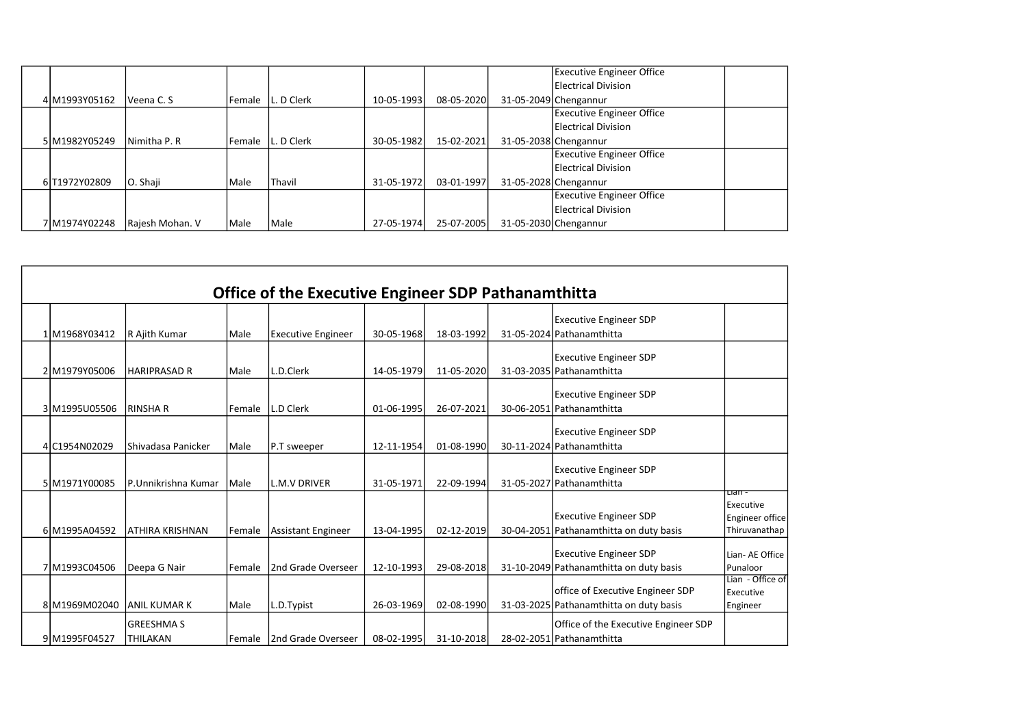|  |               |                 |        |                   |            |            | <b>Executive Engineer Office</b> |  |
|--|---------------|-----------------|--------|-------------------|------------|------------|----------------------------------|--|
|  |               |                 |        |                   |            |            | Electrical Division              |  |
|  | 4 M1993Y05162 | Veena C. S      | Female | L. D Clerk        | 10-05-1993 | 08-05-2020 | 31-05-2049 Chengannur            |  |
|  |               |                 |        |                   |            |            | <b>Executive Engineer Office</b> |  |
|  |               |                 |        |                   |            |            | Electrical Division              |  |
|  | 5 M1982Y05249 | Nimitha P. R    |        | Female L. D Clerk | 30-05-1982 | 15-02-2021 | 31-05-2038 Chengannur            |  |
|  |               |                 |        |                   |            |            | <b>Executive Engineer Office</b> |  |
|  |               |                 |        |                   |            |            | Electrical Division              |  |
|  | 6 T1972Y02809 | IO. Shaji       | Male   | Thavil            | 31-05-1972 | 03-01-1997 | 31-05-2028 Chengannur            |  |
|  |               |                 |        |                   |            |            | <b>Executive Engineer Office</b> |  |
|  |               |                 |        |                   |            |            | Electrical Division              |  |
|  | 7 M1974Y02248 | Rajesh Mohan. V | Male   | l Male            | 27-05-1974 | 25-07-2005 | 31-05-2030 Chengannur            |  |

|                |                                      |          | <b>Office of the Executive Engineer SDP Pathanamthitta</b> |            |            |                                                                             |                                                         |
|----------------|--------------------------------------|----------|------------------------------------------------------------|------------|------------|-----------------------------------------------------------------------------|---------------------------------------------------------|
| 1M1968Y03412   | R Ajith Kumar                        | Male     | <b>Executive Engineer</b>                                  | 30-05-1968 | 18-03-1992 | <b>Executive Engineer SDP</b><br>31-05-2024 Pathanamthitta                  |                                                         |
| 2 M1979Y05006  | <b>HARIPRASAD R</b>                  | Male     | L.D.Clerk                                                  | 14-05-1979 | 11-05-2020 | <b>Executive Engineer SDP</b><br>31-03-2035 Pathanamthitta                  |                                                         |
| 3 M1995 U05506 | IRINSHA R                            | Female   | L.D Clerk                                                  | 01-06-1995 | 26-07-2021 | <b>Executive Engineer SDP</b><br>30-06-2051 Pathanamthitta                  |                                                         |
| 4 C1954 N02029 | lShivadasa Panicker                  | Male     | P.T sweeper                                                | 12-11-1954 | 01-08-1990 | <b>Executive Engineer SDP</b><br>30-11-2024 Pathanamthitta                  |                                                         |
| 5 M1971Y00085  | lP.Unnikrishna Kumar                 | Male     | L.M.V DRIVER                                               | 31-05-1971 | 22-09-1994 | <b>Executive Engineer SDP</b><br>31-05-2027 Pathanamthitta                  |                                                         |
| 6 M1995A04592  | IATHIRA KRISHNAN                     | Female   | Assistant Engineer                                         | 13-04-1995 | 02-12-2019 | <b>Executive Engineer SDP</b><br>30-04-2051 Pathanamthitta on duty basis    | पावा -<br>Executive<br>Engineer office<br>Thiruvanathap |
| 7 M1993C04506  | Deepa G Nair                         | l Female | 2nd Grade Overseer                                         | 12-10-1993 | 29-08-2018 | <b>Executive Engineer SDP</b><br>31-10-2049 Pathanamthitta on duty basis    | Lian- AE Office<br>Punaloor                             |
| 8 M1969M02040  | ANIL KUMAR K                         | Male     | L.D.Typist                                                 | 26-03-1969 | 02-08-1990 | office of Executive Engineer SDP<br>31-03-2025 Pathanamthitta on duty basis | Lian - Office of<br>Executive<br>Engineer               |
| 9 M1995 F04527 | <b>GREESHMA S</b><br><b>THILAKAN</b> | l Female | 2nd Grade Overseer                                         | 08-02-1995 | 31-10-2018 | Office of the Executive Engineer SDP<br>28-02-2051 Pathanamthitta           |                                                         |